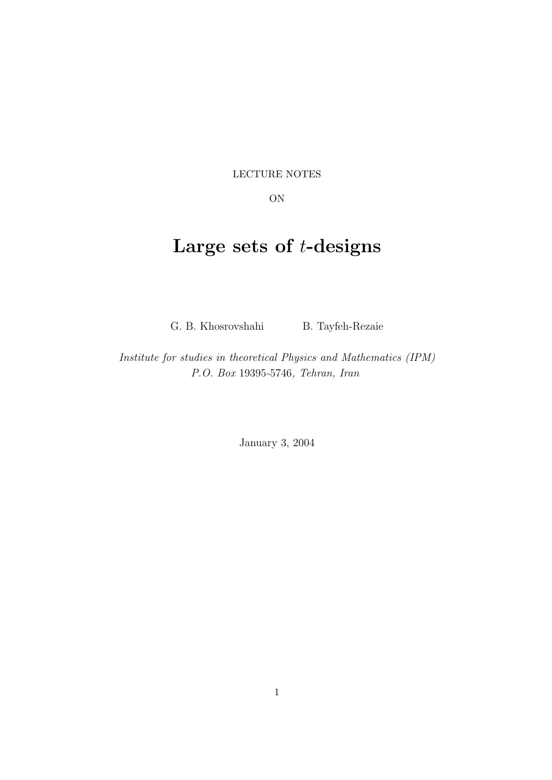LECTURE NOTES

ON

# Large sets of  $t$ -designs

G. B. Khosrovshahi B. Tayfeh-Rezaie

Institute for studies in theoretical Physics and Mathematics (IPM) P.O. Box 19395-5746, Tehran, Iran

January 3, 2004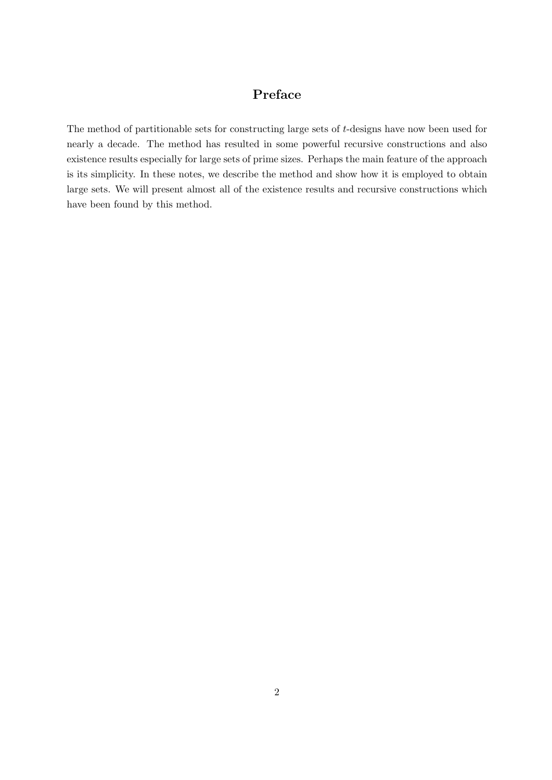### Preface

The method of partitionable sets for constructing large sets of t-designs have now been used for nearly a decade. The method has resulted in some powerful recursive constructions and also existence results especially for large sets of prime sizes. Perhaps the main feature of the approach is its simplicity. In these notes, we describe the method and show how it is employed to obtain large sets. We will present almost all of the existence results and recursive constructions which have been found by this method.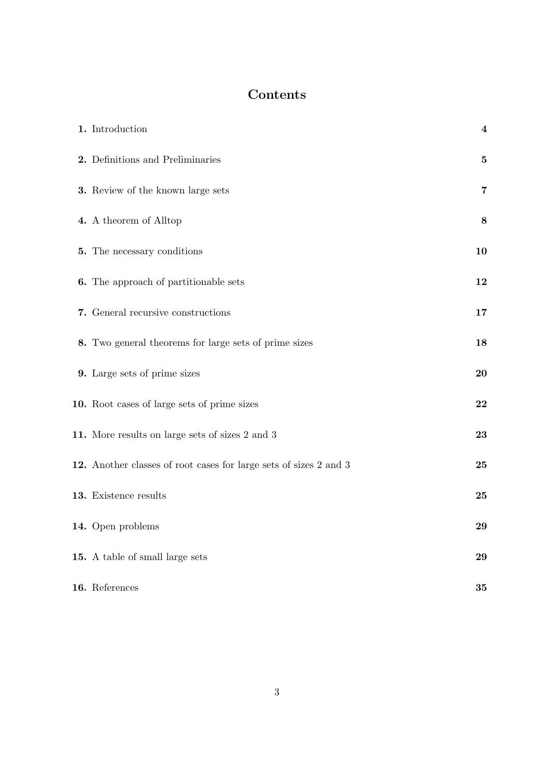## Contents

| 1. Introduction                                                   | $\overline{\mathbf{4}}$ |
|-------------------------------------------------------------------|-------------------------|
| 2. Definitions and Preliminaries                                  | $\mathbf{5}$            |
| 3. Review of the known large sets                                 | $\overline{7}$          |
| 4. A theorem of Alltop                                            | 8                       |
| 5. The necessary conditions                                       | 10                      |
| <b>6.</b> The approach of partitionable sets                      | 12                      |
| 7. General recursive constructions                                | 17                      |
| 8. Two general theorems for large sets of prime sizes             | 18                      |
| 9. Large sets of prime sizes                                      | 20                      |
| 10. Root cases of large sets of prime sizes                       | 22                      |
| 11. More results on large sets of sizes 2 and 3                   | 23                      |
| 12. Another classes of root cases for large sets of sizes 2 and 3 | 25                      |
| 13. Existence results                                             | 25                      |
| 14. Open problems                                                 | 29                      |
| 15. A table of small large sets                                   | 29                      |
| 16. References                                                    | 35                      |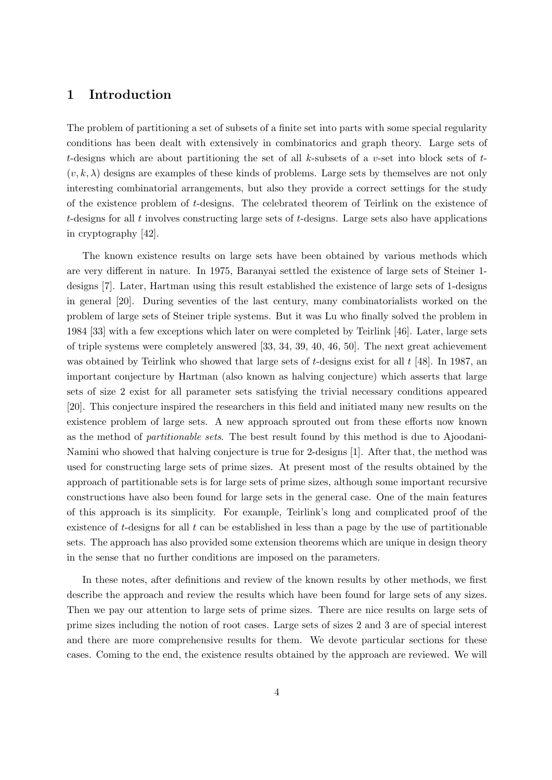#### 1 Introduction

The problem of partitioning a set of subsets of a finite set into parts with some special regularity conditions has been dealt with extensively in combinatorics and graph theory. Large sets of t-designs which are about partitioning the set of all k-subsets of a v-set into block sets of  $t$ - $(v, k, \lambda)$  designs are examples of these kinds of problems. Large sets by themselves are not only interesting combinatorial arrangements, but also they provide a correct settings for the study of the existence problem of t-designs. The celebrated theorem of Teirlink on the existence of t-designs for all t involves constructing large sets of t-designs. Large sets also have applications in cryptography [42].

The known existence results on large sets have been obtained by various methods which are very different in nature. In 1975, Baranyai settled the existence of large sets of Steiner 1 designs [7]. Later, Hartman using this result established the existence of large sets of 1-designs in general [20]. During seventies of the last century, many combinatorialists worked on the problem of large sets of Steiner triple systems. But it was Lu who finally solved the problem in 1984 [33] with a few exceptions which later on were completed by Teirlink [46]. Later, large sets of triple systems were completely answered [33, 34, 39, 40, 46, 50]. The next great achievement was obtained by Teirlink who showed that large sets of t-designs exist for all t [48]. In 1987, an important conjecture by Hartman (also known as halving conjecture) which asserts that large sets of size 2 exist for all parameter sets satisfying the trivial necessary conditions appeared [20]. This conjecture inspired the researchers in this field and initiated many new results on the existence problem of large sets. A new approach sprouted out from these efforts now known as the method of partitionable sets. The best result found by this method is due to Ajoodani-Namini who showed that halving conjecture is true for 2-designs [1]. After that, the method was used for constructing large sets of prime sizes. At present most of the results obtained by the approach of partitionable sets is for large sets of prime sizes, although some important recursive constructions have also been found for large sets in the general case. One of the main features of this approach is its simplicity. For example, Teirlink's long and complicated proof of the existence of t-designs for all  $t$  can be established in less than a page by the use of partitionable sets. The approach has also provided some extension theorems which are unique in design theory in the sense that no further conditions are imposed on the parameters.

In these notes, after definitions and review of the known results by other methods, we first describe the approach and review the results which have been found for large sets of any sizes. Then we pay our attention to large sets of prime sizes. There are nice results on large sets of prime sizes including the notion of root cases. Large sets of sizes 2 and 3 are of special interest and there are more comprehensive results for them. We devote particular sections for these cases. Coming to the end, the existence results obtained by the approach are reviewed. We will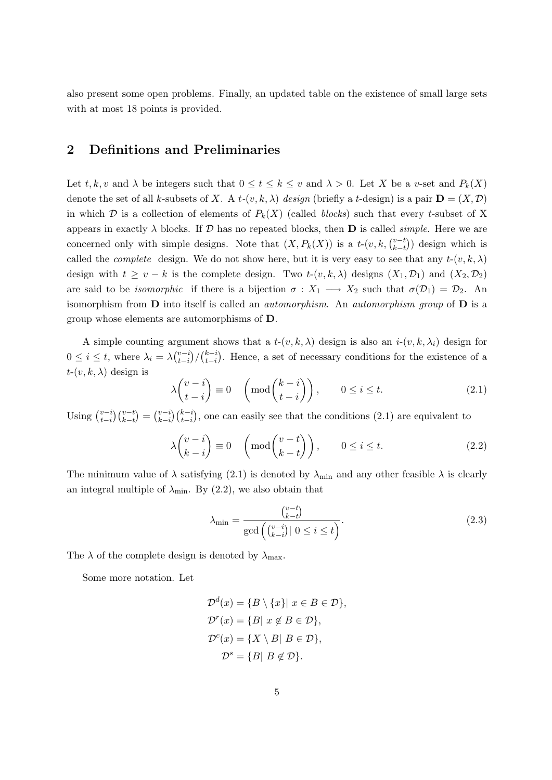also present some open problems. Finally, an updated table on the existence of small large sets with at most 18 points is provided.

#### 2 Definitions and Preliminaries

Let t, k, v and  $\lambda$  be integers such that  $0 \le t \le k \le v$  and  $\lambda > 0$ . Let X be a v-set and  $P_k(X)$ denote the set of all k-subsets of X. A  $t-(v, k, \lambda)$  design (briefly a t-design) is a pair  $\mathbf{D} = (X, \mathcal{D})$ in which  $\mathcal D$  is a collection of elements of  $P_k(X)$  (called blocks) such that every t-subset of X appears in exactly  $\lambda$  blocks. If  $\mathcal D$  has no repeated blocks, then **D** is called *simple*. Here we are concerned only with simple designs. Note that  $(X, P_k(X))$  is a  $t$ - $(v, k, \binom{v-t}{k-t}$  $\binom{v-t}{k-t}$ ) design which is called the *complete* design. We do not show here, but it is very easy to see that any  $t-(v, k, \lambda)$ design with  $t \ge v - k$  is the complete design. Two  $t-(v, k, \lambda)$  designs  $(X_1, \mathcal{D}_1)$  and  $(X_2, \mathcal{D}_2)$ are said to be *isomorphic* if there is a bijection  $\sigma : X_1 \longrightarrow X_2$  such that  $\sigma(\mathcal{D}_1) = \mathcal{D}_2$ . An isomorphism from  $\bf{D}$  into itself is called an *automorphism*. An *automorphism group* of  $\bf{D}$  is a group whose elements are automorphisms of D.

A simple counting argument shows that a  $t-(v, k, \lambda)$  design is also an  $i-(v, k, \lambda_i)$  design for  $0 \leq i \leq t$ , where  $\lambda_i = \lambda \binom{v-i}{t-i}$  $\binom{v-i}{t-i}/\binom{k-i}{t-i}$  $\binom{k-i}{t-i}$ . Hence, a set of necessary conditions for the existence of a  $t-(v, k, \lambda)$  design is

$$
\lambda \binom{v-i}{t-i} \equiv 0 \quad \left( \text{mod} \binom{k-i}{t-i} \right), \qquad 0 \le i \le t. \tag{2.1}
$$

Using  $\binom{v-i}{t-i}$  $_{t-i}^{v-i}$  $\binom{v-t}{k-t} = \binom{v-i}{k-i}$  $\binom{v-i}{t-i}$ , one can easily see that the conditions (2.1) are equivalent to

$$
\lambda \binom{v-i}{k-i} \equiv 0 \quad \left( \text{mod} \binom{v-t}{k-t} \right), \qquad 0 \le i \le t. \tag{2.2}
$$

The minimum value of  $\lambda$  satisfying (2.1) is denoted by  $\lambda_{\min}$  and any other feasible  $\lambda$  is clearly an integral multiple of  $\lambda_{\min}$ . By (2.2), we also obtain that

$$
\lambda_{\min} = \frac{\binom{v-t}{k-t}}{\gcd\left(\binom{v-i}{k-i}\middle| 0 \le i \le t\right)}.\tag{2.3}
$$

The  $\lambda$  of the complete design is denoted by  $\lambda_{\text{max}}$ .

Some more notation. Let

$$
\mathcal{D}^d(x) = \{B \setminus \{x\} | x \in B \in \mathcal{D}\},\
$$

$$
\mathcal{D}^r(x) = \{B | x \notin B \in \mathcal{D}\},\
$$

$$
\mathcal{D}^c(x) = \{X \setminus B | B \in \mathcal{D}\},\
$$

$$
\mathcal{D}^s = \{B | B \notin \mathcal{D}\}.
$$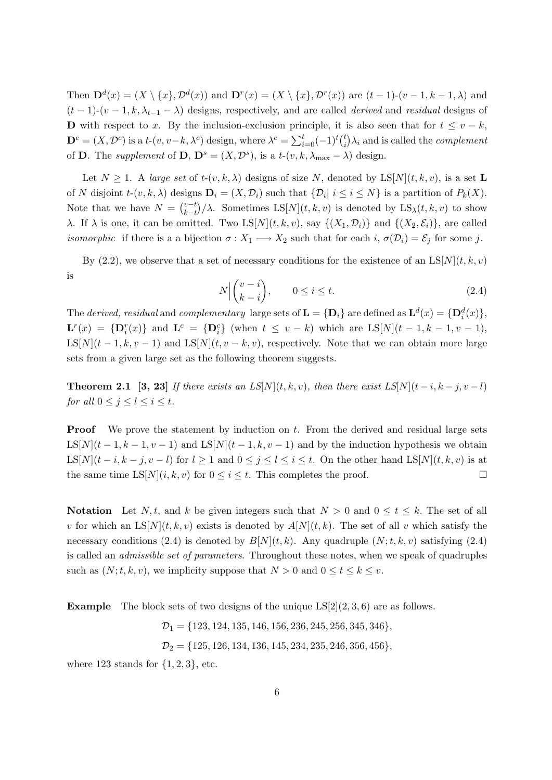Then  $\mathbf{D}^{d}(x) = (X \setminus \{x\}, \mathcal{D}^{d}(x))$  and  $\mathbf{D}^{r}(x) = (X \setminus \{x\}, \mathcal{D}^{r}(x))$  are  $(t-1)-(v-1,k-1,\lambda)$  and  $(t-1)-(v-1,k,\lambda_{t-1}-\lambda)$  designs, respectively, and are called *derived* and *residual* designs of D with respect to x. By the inclusion-exclusion principle, it is also seen that for  $t \leq v - k$ ,  $\mathbf{D}^c = (X, \mathcal{D}^c)$  is a  $t$ - $(v, v-k, \lambda^c)$  design, where  $\lambda^c = \sum_{i=0}^t (-1)^t {t \choose i}$  $\binom{t}{i}\lambda_i$  and is called the *complement* of **D**. The supplement of **D**,  $\mathbf{D}^s = (X, \mathcal{D}^s)$ , is a t- $(v, k, \lambda_{\text{max}} - \lambda)$  design.

Let  $N \geq 1$ . A large set of  $t-(v, k, \lambda)$  designs of size N, denoted by  $LS[N](t, k, v)$ , is a set L of N disjoint  $t$ - $(v, k, \lambda)$  designs  $\mathbf{D}_i = (X, \mathcal{D}_i)$  such that  $\{\mathcal{D}_i | i \leq i \leq N\}$  is a partition of  $P_k(X)$ . Note that we have  $N = \binom{v-t}{k-t}$  $\sum_{k-t}^{v-t}/\lambda$ . Sometimes LS[N](t, k, v) is denoted by LS<sub> $\lambda$ </sub>(t, k, v) to show λ. If λ is one, it can be omitted. Two LS[N](t, k, v), say  $\{(X_1, D_i)\}\$  and  $\{(X_2, \mathcal{E}_i)\}\$ , are called *isomorphic* if there is a a bijection  $\sigma : X_1 \longrightarrow X_2$  such that for each  $i, \sigma(\mathcal{D}_i) = \mathcal{E}_j$  for some j.

By (2.2), we observe that a set of necessary conditions for the existence of an  $LS[N](t, k, v)$ is

$$
N \Big| \binom{v-i}{k-i}, \qquad 0 \le i \le t. \tag{2.4}
$$

The derived, residual and complementary large sets of  $\mathbf{L} = \{ \mathbf{D}_i \}$  are defined as  $\mathbf{L}^d(x) = \{ \mathbf{D}_i^d(x) \}$ ,  $\mathbf{L}^r(x) = {\mathbf{D}_i^r(x)}$  and  $\mathbf{L}^c = {\mathbf{D}_i^c}$  (when  $t \leq v - k$ ) which are  $\text{LS}[N](t - 1, k - 1, v - 1)$ , LS[N](t – 1, k, v – 1) and LS[N](t, v – k, v), respectively. Note that we can obtain more large sets from a given large set as the following theorem suggests.

**Theorem 2.1** [3, 23] If there exists an LS[N](t, k, v), then there exist LS[N](t – i, k – j, v – l) for all  $0 \leq j \leq l \leq i \leq t$ .

**Proof** We prove the statement by induction on t. From the derived and residual large sets LS[N](t – 1, k – 1, v – 1) and LS[N](t – 1, k, v – 1) and by the induction hypothesis we obtain LS[N](t – i, k – j, v – l) for  $l \ge 1$  and  $0 \le j \le l \le i \le t$ . On the other hand LS[N](t, k, v) is at the same time  $LS[N](i, k, v)$  for  $0 \le i \le t$ . This completes the proof.

Notation Let N, t, and k be given integers such that  $N > 0$  and  $0 \le t \le k$ . The set of all v for which an  $LS[N](t, k, v)$  exists is denoted by  $A[N](t, k)$ . The set of all v which satisfy the necessary conditions (2.4) is denoted by  $B[N](t, k)$ . Any quadruple  $(N; t, k, v)$  satisfying (2.4) is called an admissible set of parameters. Throughout these notes, when we speak of quadruples such as  $(N; t, k, v)$ , we implicity suppose that  $N > 0$  and  $0 \le t \le k \le v$ .

**Example** The block sets of two designs of the unique  $LS[2](2, 3, 6)$  are as follows.

 $\mathcal{D}_1 = \{123, 124, 135, 146, 156, 236, 245, 256, 345, 346\},\$  $\mathcal{D}_2 = \{125, 126, 134, 136, 145, 234, 235, 246, 356, 456\},\$ 

where 123 stands for  $\{1, 2, 3\}$ , etc.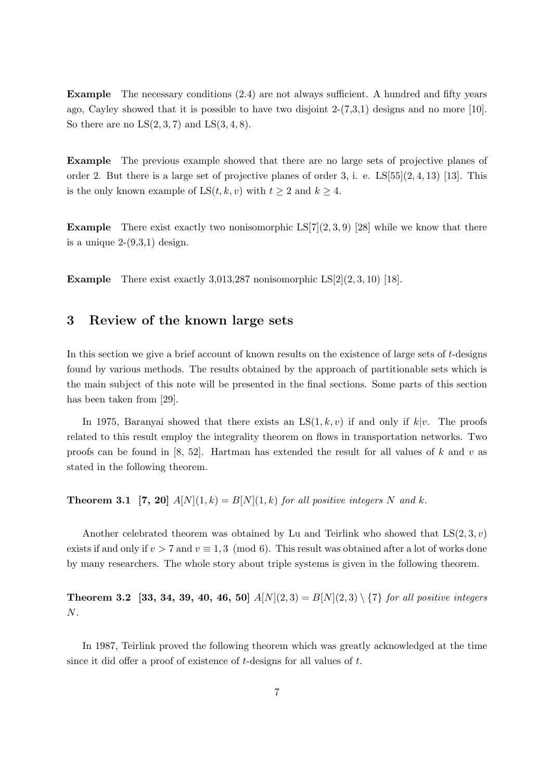Example The necessary conditions (2.4) are not always sufficient. A hundred and fifty years ago, Cayley showed that it is possible to have two disjoint  $2-(7,3,1)$  designs and no more [10]. So there are no  $LS(2,3,7)$  and  $LS(3,4,8)$ .

Example The previous example showed that there are no large sets of projective planes of order 2. But there is a large set of projective planes of order 3, i. e.  $LS[55](2, 4, 13)$  [13]. This is the only known example of  $LS(t, k, v)$  with  $t \geq 2$  and  $k \geq 4$ .

**Example** There exist exactly two nonisomorphic  $LS[7](2,3,9)$  [28] while we know that there is a unique  $2-(9,3,1)$  design.

**Example** There exist exactly 3,013,287 nonisomorphic  $LS[2](2, 3, 10)$  [18].

#### 3 Review of the known large sets

In this section we give a brief account of known results on the existence of large sets of  $t$ -designs found by various methods. The results obtained by the approach of partitionable sets which is the main subject of this note will be presented in the final sections. Some parts of this section has been taken from [29].

In 1975, Baranyai showed that there exists an  $LS(1, k, v)$  if and only if  $k|v$ . The proofs related to this result employ the integrality theorem on flows in transportation networks. Two proofs can be found in [8, 52]. Hartman has extended the result for all values of k and v as stated in the following theorem.

**Theorem 3.1** [7, 20]  $A[N](1,k) = B[N](1,k)$  for all positive integers N and k.

Another celebrated theorem was obtained by Lu and Teirlink who showed that  $LS(2, 3, v)$ exists if and only if  $v > 7$  and  $v \equiv 1, 3 \pmod{6}$ . This result was obtained after a lot of works done by many researchers. The whole story about triple systems is given in the following theorem.

**Theorem 3.2** [33, 34, 39, 40, 46, 50]  $A[N](2,3) = B[N](2,3) \setminus \{7\}$  for all positive integers N.

In 1987, Teirlink proved the following theorem which was greatly acknowledged at the time since it did offer a proof of existence of t-designs for all values of t.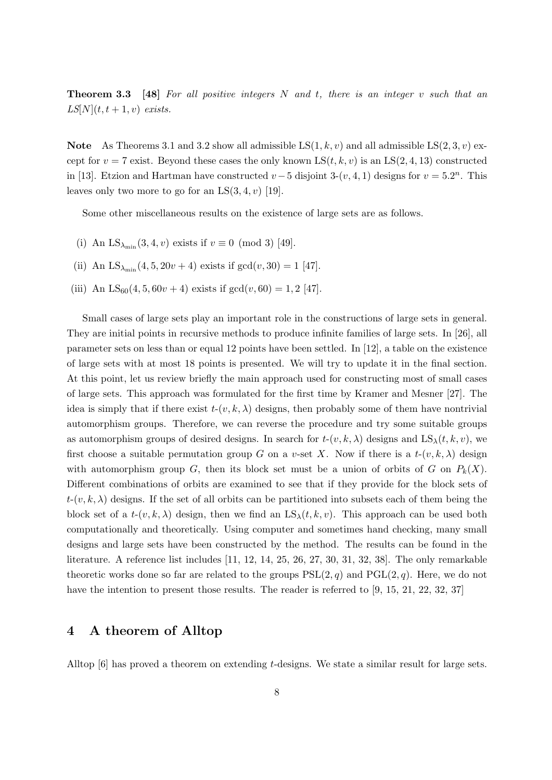**Theorem 3.3** [48] For all positive integers  $N$  and  $t$ , there is an integer  $v$  such that an  $LS[N](t, t+1, v)$  exists.

**Note** As Theorems 3.1 and 3.2 show all admissible  $LS(1, k, v)$  and all admissible  $LS(2, 3, v)$  except for  $v = 7$  exist. Beyond these cases the only known  $LS(t, k, v)$  is an  $LS(2, 4, 13)$  constructed in [13]. Etzion and Hartman have constructed  $v-5$  disjoint 3- $(v, 4, 1)$  designs for  $v = 5.2<sup>n</sup>$ . This leaves only two more to go for an  $LS(3, 4, v)$  [19].

Some other miscellaneous results on the existence of large sets are as follows.

- (i) An  $LS_{\lambda_{\min}}(3, 4, v)$  exists if  $v \equiv 0 \pmod{3}$  [49].
- (ii) An  $LS_{\lambda_{\min}}(4, 5, 20v + 4)$  exists if  $gcd(v, 30) = 1$  [47].
- (iii) An  $LS_{60}(4, 5, 60v + 4)$  exists if  $gcd(v, 60) = 1, 2$  [47].

Small cases of large sets play an important role in the constructions of large sets in general. They are initial points in recursive methods to produce infinite families of large sets. In [26], all parameter sets on less than or equal 12 points have been settled. In [12], a table on the existence of large sets with at most 18 points is presented. We will try to update it in the final section. At this point, let us review briefly the main approach used for constructing most of small cases of large sets. This approach was formulated for the first time by Kramer and Mesner [27]. The idea is simply that if there exist  $t-(v, k, \lambda)$  designs, then probably some of them have nontrivial automorphism groups. Therefore, we can reverse the procedure and try some suitable groups as automorphism groups of desired designs. In search for  $t-(v, k, \lambda)$  designs and  $LS_{\lambda}(t, k, v)$ , we first choose a suitable permutation group G on a v-set X. Now if there is a  $t-(v, k, \lambda)$  design with automorphism group G, then its block set must be a union of orbits of G on  $P_k(X)$ . Different combinations of orbits are examined to see that if they provide for the block sets of  $t-(v, k, \lambda)$  designs. If the set of all orbits can be partitioned into subsets each of them being the block set of a  $t-(v, k, \lambda)$  design, then we find an  $LS_{\lambda}(t, k, v)$ . This approach can be used both computationally and theoretically. Using computer and sometimes hand checking, many small designs and large sets have been constructed by the method. The results can be found in the literature. A reference list includes [11, 12, 14, 25, 26, 27, 30, 31, 32, 38]. The only remarkable theoretic works done so far are related to the groups  $PSL(2, q)$  and  $PGL(2, q)$ . Here, we do not have the intention to present those results. The reader is referred to [9, 15, 21, 22, 32, 37]

#### 4 A theorem of Alltop

Alltop [6] has proved a theorem on extending t-designs. We state a similar result for large sets.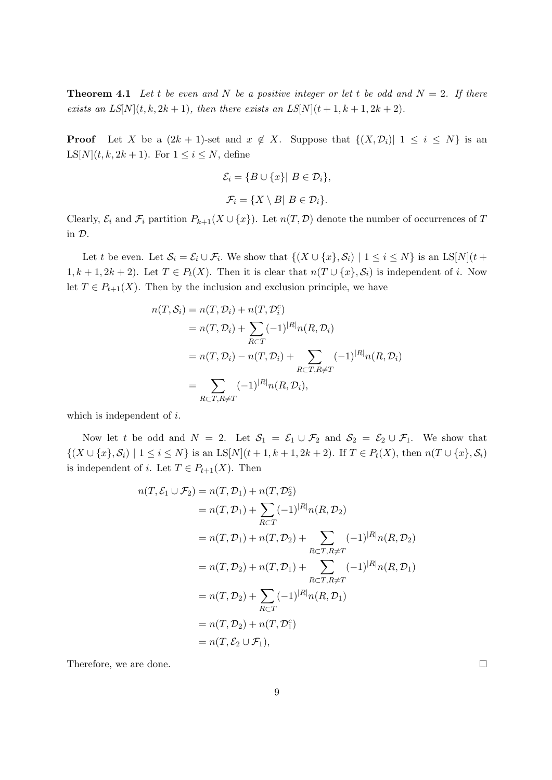**Theorem 4.1** Let t be even and N be a positive integer or let t be odd and  $N = 2$ . If there exists an  $LS[N](t, k, 2k + 1)$ , then there exists an  $LS[N](t + 1, k + 1, 2k + 2)$ .

**Proof** Let X be a  $(2k + 1)$ -set and  $x \notin X$ . Suppose that  $\{(X, \mathcal{D}_i) | 1 \leq i \leq N\}$  is an  $LS[N](t, k, 2k+1)$ . For  $1 \leq i \leq N$ , define

$$
\mathcal{E}_i = \{ B \cup \{x\} | B \in \mathcal{D}_i \},
$$
  

$$
\mathcal{F}_i = \{ X \setminus B | B \in \mathcal{D}_i \}.
$$

Clearly,  $\mathcal{E}_i$  and  $\mathcal{F}_i$  partition  $P_{k+1}(X \cup \{x\})$ . Let  $n(T, \mathcal{D})$  denote the number of occurrences of T in D.

Let t be even. Let  $S_i = \mathcal{E}_i \cup \mathcal{F}_i$ . We show that  $\{(X \cup \{x\}, \mathcal{S}_i) \mid 1 \le i \le N\}$  is an  $LS[N](t +$  $1, k + 1, 2k + 2$ . Let  $T \in P_t(X)$ . Then it is clear that  $n(T \cup \{x\}, S_i)$  is independent of i. Now let  $T \in P_{t+1}(X)$ . Then by the inclusion and exclusion principle, we have

$$
n(T, S_i) = n(T, D_i) + n(T, D_i^c)
$$
  
=  $n(T, D_i) + \sum_{R \subset T} (-1)^{|R|} n(R, D_i)$   
=  $n(T, D_i) - n(T, D_i) + \sum_{R \subset T, R \neq T} (-1)^{|R|} n(R, D_i)$   
= 
$$
\sum_{R \subset T, R \neq T} (-1)^{|R|} n(R, D_i),
$$

which is independent of *i*.

Now let t be odd and  $N = 2$ . Let  $S_1 = S_1 \cup \mathcal{F}_2$  and  $S_2 = S_2 \cup \mathcal{F}_1$ . We show that  $\{(X \cup \{x\}, \mathcal{S}_i) \mid 1 \leq i \leq N\}$  is an  $LS[N](t+1, k+1, 2k+2)$ . If  $T \in P_t(X)$ , then  $n(T \cup \{x\}, \mathcal{S}_i)$ is independent of *i*. Let  $T \in P_{t+1}(X)$ . Then

$$
n(T, \mathcal{E}_1 \cup \mathcal{F}_2) = n(T, \mathcal{D}_1) + n(T, \mathcal{D}_2^c)
$$
  
=  $n(T, \mathcal{D}_1) + \sum_{R \subset T} (-1)^{|R|} n(R, \mathcal{D}_2)$   
=  $n(T, \mathcal{D}_1) + n(T, \mathcal{D}_2) + \sum_{R \subset T, R \neq T} (-1)^{|R|} n(R, \mathcal{D}_2)$   
=  $n(T, \mathcal{D}_2) + n(T, \mathcal{D}_1) + \sum_{R \subset T, R \neq T} (-1)^{|R|} n(R, \mathcal{D}_1)$   
=  $n(T, \mathcal{D}_2) + \sum_{R \subset T} (-1)^{|R|} n(R, \mathcal{D}_1)$   
=  $n(T, \mathcal{D}_2) + n(T, \mathcal{D}_1^c)$   
=  $n(T, \mathcal{E}_2 \cup \mathcal{F}_1),$ 

Therefore, we are done.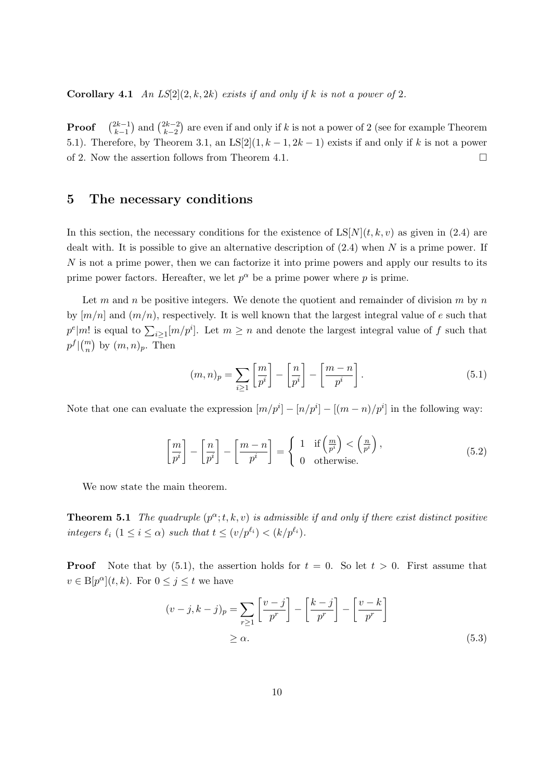**Corollary 4.1** An  $LS[2](2, k, 2k)$  exists if and only if k is not a power of 2.

Proof  $2k-1$  $\binom{2k-1}{k-1}$  and  $\binom{2k-2}{k-2}$  $(k-2)$  are even if and only if k is not a power of 2 (see for example Theorem 5.1). Therefore, by Theorem 3.1, an  $LS[2](1, k-1, 2k-1)$  exists if and only if k is not a power of 2. Now the assertion follows from Theorem 4.1.  $\Box$ 

#### 5 The necessary conditions

In this section, the necessary conditions for the existence of  $LS[N](t, k, v)$  as given in (2.4) are dealt with. It is possible to give an alternative description of  $(2.4)$  when N is a prime power. If N is not a prime power, then we can factorize it into prime powers and apply our results to its prime power factors. Hereafter, we let  $p^{\alpha}$  be a prime power where p is prime.

Let m and n be positive integers. We denote the quotient and remainder of division m by n by  $[m/n]$  and  $(m/n)$ , respectively. It is well known that the largest integral value of e such that  $p^e|m!$  is equal to  $\sum_{i\geq 1} [m/p^i]$ . Let  $m\geq n$  and denote the largest integral value of f such that  $p^{f} \vert {m \choose n}$  by  $(m, n)_p$ . Then

$$
(m,n)_p = \sum_{i \ge 1} \left[ \frac{m}{p^i} \right] - \left[ \frac{n}{p^i} \right] - \left[ \frac{m-n}{p^i} \right]. \tag{5.1}
$$

Note that one can evaluate the expression  $[m/p^i] - [n/p^i] - [(m-n)/p^i]$  in the following way:

$$
\left[\frac{m}{p^i}\right] - \left[\frac{n}{p^i}\right] - \left[\frac{m-n}{p^i}\right] = \begin{cases} 1 & \text{if } \left(\frac{m}{p^i}\right) < \left(\frac{n}{p^i}\right), \\ 0 & \text{otherwise.} \end{cases}
$$
\n(5.2)

We now state the main theorem.

**Theorem 5.1** The quadruple  $(p^{\alpha}; t, k, v)$  is admissible if and only if there exist distinct positive integers  $\ell_i$  ( $1 \leq i \leq \alpha$ ) such that  $t \leq (v/p^{\ell_i}) < (k/p^{\ell_i})$ .

**Proof** Note that by (5.1), the assertion holds for  $t = 0$ . So let  $t > 0$ . First assume that  $v \in B[p^{\alpha}](t, k)$ . For  $0 \leq j \leq t$  we have

$$
(v-j,k-j)_p = \sum_{r\geq 1} \left[ \frac{v-j}{p^r} \right] - \left[ \frac{k-j}{p^r} \right] - \left[ \frac{v-k}{p^r} \right]
$$
  
\n
$$
\geq \alpha.
$$
 (5.3)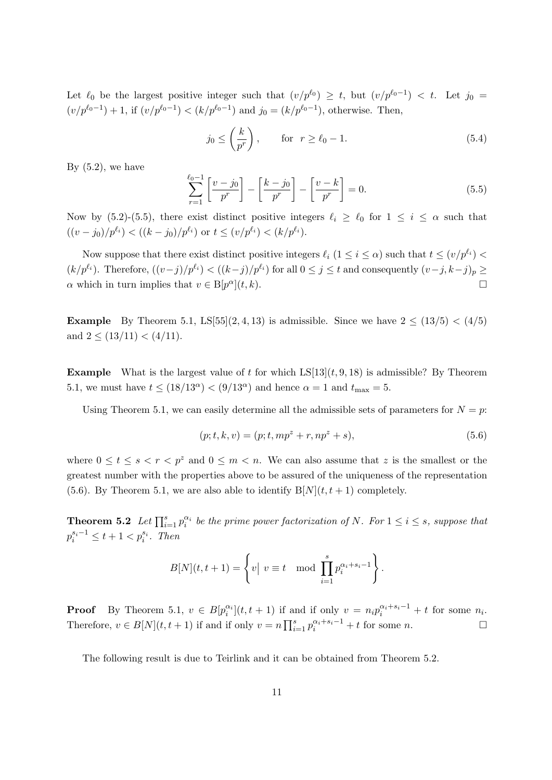Let  $\ell_0$  be the largest positive integer such that  $(v/p^{\ell_0}) \geq t$ , but  $(v/p^{\ell_0-1}) < t$ . Let  $j_0 =$  $(v/p^{\ell_0-1})+1$ , if  $(v/p^{\ell_0-1}) < (k/p^{\ell_0-1})$  and  $j_0 = (k/p^{\ell_0-1})$ , otherwise. Then,

$$
j_0 \le \left(\frac{k}{p^r}\right), \qquad \text{for} \ \ r \ge \ell_0 - 1. \tag{5.4}
$$

By  $(5.2)$ , we have

$$
\sum_{r=1}^{\ell_0-1} \left[ \frac{v-j_0}{p^r} \right] - \left[ \frac{k-j_0}{p^r} \right] - \left[ \frac{v-k}{p^r} \right] = 0. \tag{5.5}
$$

Now by (5.2)-(5.5), there exist distinct positive integers  $\ell_i \geq \ell_0$  for  $1 \leq i \leq \alpha$  such that  $((v - j_0)/p^{\ell_i}) < ((k - j_0)/p^{\ell_i})$  or  $t \leq (v/p^{\ell_i}) < (k/p^{\ell_i}).$ 

Now suppose that there exist distinct positive integers  $\ell_i$  ( $1 \leq i \leq \alpha$ ) such that  $t \leq (v/p^{\ell_i})$  $(k/p^{\ell_i})$ . Therefore,  $((v-j)/p^{\ell_i}) < ((k-j)/p^{\ell_i})$  for all  $0 \le j \le t$  and consequently  $(v-j, k-j)_p \ge$  $\alpha$  which in turn implies that  $v \in B[p^{\alpha}](t, k)$ .

**Example** By Theorem 5.1, LS[55](2, 4, 13) is admissible. Since we have  $2 \le (13/5) < (4/5)$ and  $2 \leq (13/11) < (4/11)$ .

**Example** What is the largest value of t for which  $LS[13](t, 9, 18)$  is admissible? By Theorem 5.1, we must have  $t \leq (18/13^{\alpha}) < (9/13^{\alpha})$  and hence  $\alpha = 1$  and  $t_{\text{max}} = 5$ .

Using Theorem 5.1, we can easily determine all the admissible sets of parameters for  $N = p$ :

$$
(p; t, k, v) = (p; t, mpz + r, npz + s),
$$
\n(5.6)

where  $0 \le t \le s < r < p^z$  and  $0 \le m < n$ . We can also assume that z is the smallest or the greatest number with the properties above to be assured of the uniqueness of the representation (5.6). By Theorem 5.1, we are also able to identify  $B[N](t, t + 1)$  completely.

**Theorem 5.2** Let  $\prod_{i=1}^{s} p_i^{\alpha_i}$  be the prime power factorization of N. For  $1 \leq i \leq s$ , suppose that  $p_i^{s_i-1} \leq t+1 < p_i^{s_i}$ . Then

$$
B[N](t, t+1) = \left\{ v \mid v \equiv t \mod \prod_{i=1}^{s} p_i^{\alpha_i + s_i - 1} \right\}.
$$

**Proof** By Theorem 5.1,  $v \in B[p_i^{\alpha_i}](t, t+1)$  if and if only  $v = n_i p_i^{\alpha_i + s_i - 1} + t$  for some  $n_i$ . Therefore,  $v \in B[N](t, t+1)$  if and if only  $v = n \prod_{i=1}^{s} p_i^{\alpha_i + s_i - 1} + t$  for some n.

The following result is due to Teirlink and it can be obtained from Theorem 5.2.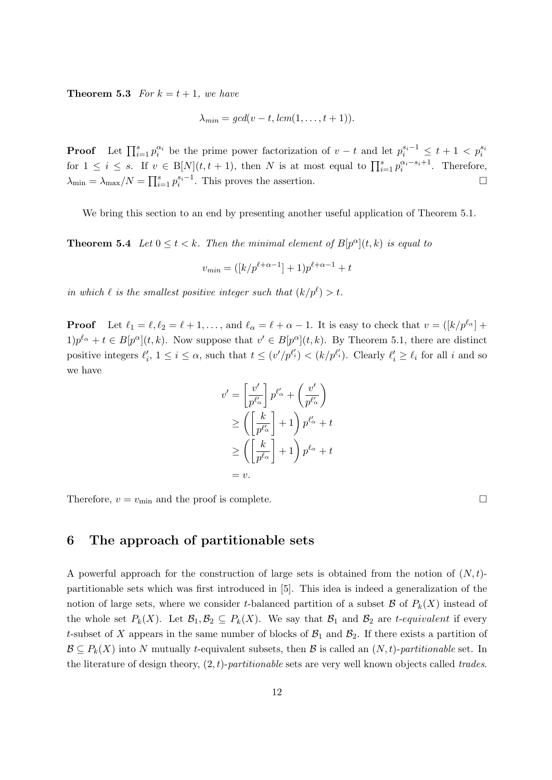**Theorem 5.3** For  $k = t + 1$ , we have

$$
\lambda_{min} = \gcd(v-t, lcm(1, \ldots, t+1)).
$$

**Proof** Let  $\prod_{i=1}^{s} p_i^{\alpha_i}$  be the prime power factorization of  $v-t$  and let  $p_i^{s_i-1} \leq t+1 < p_i^{s_i}$ for  $1 \leq i \leq s$ . If  $v \in B[N](t, t+1)$ , then N is at most equal to  $\prod_{i=1}^{s} p_i^{\alpha_i - s_i + 1}$ . Therefore,  $\lambda_{\min} = \lambda_{\max}/N = \prod_{i=1}^s p_i^{s_i-1}$ . This proves the assertion.

We bring this section to an end by presenting another useful application of Theorem 5.1.

**Theorem 5.4** Let  $0 \le t < k$ . Then the minimal element of  $B[p^{\alpha}](t, k)$  is equal to

$$
v_{min} = ([k/p^{\ell+\alpha-1}] + 1)p^{\ell+\alpha-1} + t
$$

in which  $\ell$  is the smallest positive integer such that  $(k/p^{\ell}) > t$ .

**Proof** Let  $\ell_1 = \ell, \ell_2 = \ell + 1, \ldots$ , and  $\ell_\alpha = \ell + \alpha - 1$ . It is easy to check that  $v = (k/p^{\ell_\alpha}) +$  $1)p^{\ell_{\alpha}}+t \in B[p^{\alpha}](t,k)$ . Now suppose that  $v' \in B[p^{\alpha}](t,k)$ . By Theorem 5.1, there are distinct positive integers  $\ell'_i$ ,  $1 \leq i \leq \alpha$ , such that  $t \leq (v'/p^{\ell'_i}) < (k/p^{\ell'_i})$ . Clearly  $\ell'_i \geq \ell_i$  for all i and so we have

$$
v' = \left[\frac{v'}{p^{\ell'_\alpha}}\right] p^{\ell'_\alpha} + \left(\frac{v'}{p^{\ell'_\alpha}}\right)
$$
  
\n
$$
\ge \left(\left[\frac{k}{p^{\ell'_\alpha}}\right] + 1\right) p^{\ell'_\alpha} + t
$$
  
\n
$$
\ge \left(\left[\frac{k}{p^{\ell_\alpha}}\right] + 1\right) p^{\ell_\alpha} + t
$$
  
\n
$$
= v.
$$

Therefore,  $v = v_{\text{min}}$  and the proof is complete.

#### 6 The approach of partitionable sets

A powerful approach for the construction of large sets is obtained from the notion of  $(N, t)$ partitionable sets which was first introduced in [5]. This idea is indeed a generalization of the notion of large sets, where we consider t-balanced partition of a subset  $\mathcal{B}$  of  $P_k(X)$  instead of the whole set  $P_k(X)$ . Let  $\mathcal{B}_1, \mathcal{B}_2 \subseteq P_k(X)$ . We say that  $\mathcal{B}_1$  and  $\mathcal{B}_2$  are t-equivalent if every t-subset of X appears in the same number of blocks of  $\mathcal{B}_1$  and  $\mathcal{B}_2$ . If there exists a partition of  $\mathcal{B} \subseteq P_k(X)$  into N mutually t-equivalent subsets, then  $\mathcal{B}$  is called an  $(N, t)$ -partitionable set. In the literature of design theory,  $(2, t)$ -partitionable sets are very well known objects called trades.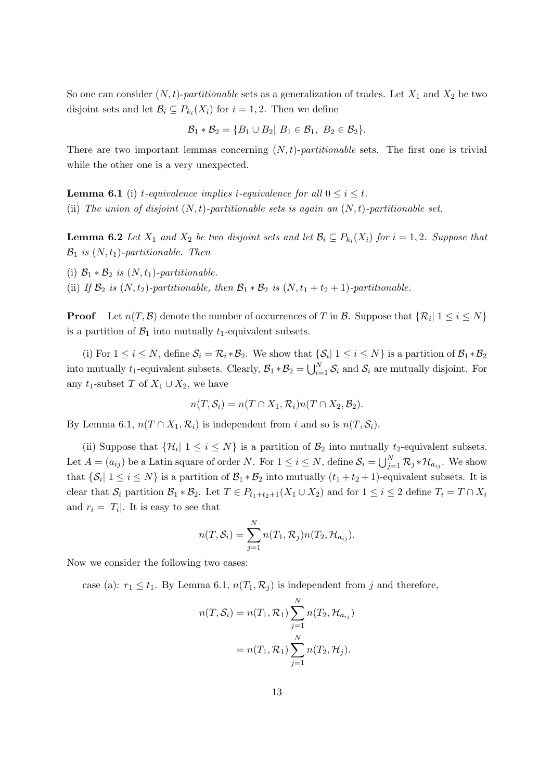So one can consider  $(N, t)$ -partitionable sets as a generalization of trades. Let  $X_1$  and  $X_2$  be two disjoint sets and let  $\mathcal{B}_i \subseteq P_{k_i}(X_i)$  for  $i = 1, 2$ . Then we define

$$
\mathcal{B}_1 * \mathcal{B}_2 = \{B_1 \cup B_2 | B_1 \in \mathcal{B}_1, B_2 \in \mathcal{B}_2\}.
$$

There are two important lemmas concerning  $(N, t)$ -partitionable sets. The first one is trivial while the other one is a very unexpected.

**Lemma 6.1** (i) *t*-equivalence implies *i*-equivalence for all  $0 \le i \le t$ . (ii) The union of disjoint  $(N, t)$ -partitionable sets is again an  $(N, t)$ -partitionable set.

**Lemma 6.2** Let  $X_1$  and  $X_2$  be two disjoint sets and let  $\mathcal{B}_i \subseteq P_{k_i}(X_i)$  for  $i = 1, 2$ . Suppose that  $\mathcal{B}_1$  is  $(N, t_1)$ -partitionable. Then

(i)  $\mathcal{B}_1 * \mathcal{B}_2$  is  $(N, t_1)$ -partitionable.

(ii) If  $\mathcal{B}_2$  is  $(N, t_2)$ -partitionable, then  $\mathcal{B}_1 * \mathcal{B}_2$  is  $(N, t_1 + t_2 + 1)$ -partitionable.

**Proof** Let  $n(T, \mathcal{B})$  denote the number of occurrences of T in  $\mathcal{B}$ . Suppose that  $\{\mathcal{R}_i | 1 \le i \le N\}$ is a partition of  $\mathcal{B}_1$  into mutually  $t_1$ -equivalent subsets.

(i) For  $1 \le i \le N$ , define  $S_i = \mathcal{R}_i * \mathcal{B}_2$ . We show that  $\{S_i | 1 \le i \le N\}$  is a partition of  $\mathcal{B}_1 * \mathcal{B}_2$ into mutually t<sub>1</sub>-equivalent subsets. Clearly,  $B_1 * B_2 = \bigcup_{i=1}^N S_i$  and  $S_i$  are mutually disjoint. For any t<sub>1</sub>-subset T of  $X_1 \cup X_2$ , we have

$$
n(T, S_i) = n(T \cap X_1, \mathcal{R}_i) n(T \cap X_2, \mathcal{B}_2).
$$

By Lemma 6.1,  $n(T \cap X_1, \mathcal{R}_i)$  is independent from i and so is  $n(T, \mathcal{S}_i)$ .

(ii) Suppose that  $\{\mathcal{H}_i | 1 \leq i \leq N\}$  is a partition of  $\mathcal{B}_2$  into mutually  $t_2$ -equivalent subsets. Let  $A = (a_{ij})$  be a Latin square of order N. For  $1 \le i \le N$ , define  $\mathcal{S}_i = \bigcup_{j=1}^N \mathcal{R}_j * \mathcal{H}_{a_{ij}}$ . We show that  $\{\mathcal{S}_i | 1 \le i \le N\}$  is a partition of  $\mathcal{B}_1 * \mathcal{B}_2$  into mutually  $(t_1 + t_2 + 1)$ -equivalent subsets. It is clear that  $S_i$  partition  $\mathcal{B}_1 * \mathcal{B}_2$ . Let  $T \in P_{t_1+t_2+1}(X_1 \cup X_2)$  and for  $1 \leq i \leq 2$  define  $T_i = T \cap X_i$ and  $r_i = |T_i|$ . It is easy to see that

$$
n(T, S_i) = \sum_{j=1}^N n(T_1, \mathcal{R}_j) n(T_2, \mathcal{H}_{a_{ij}}).
$$

Now we consider the following two cases:

case (a):  $r_1 \leq t_1$ . By Lemma 6.1,  $n(T_1, \mathcal{R}_i)$  is independent from j and therefore,

$$
n(T, S_i) = n(T_1, R_1) \sum_{j=1}^{N} n(T_2, \mathcal{H}_{a_{ij}})
$$
  
=  $n(T_1, R_1) \sum_{j=1}^{N} n(T_2, \mathcal{H}_j).$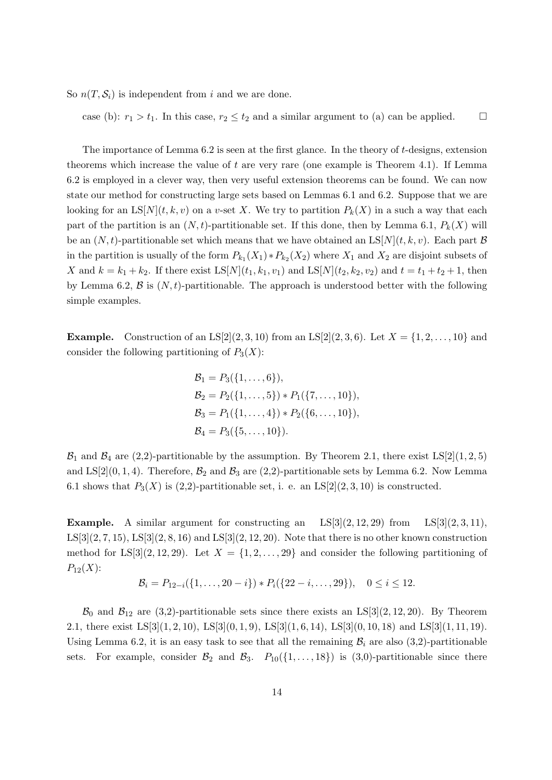So  $n(T, \mathcal{S}_i)$  is independent from i and we are done.

case (b):  $r_1 > t_1$ . In this case,  $r_2 \le t_2$  and a similar argument to (a) can be applied.  $\Box$ 

The importance of Lemma  $6.2$  is seen at the first glance. In the theory of t-designs, extension theorems which increase the value of t are very rare (one example is Theorem 4.1). If Lemma 6.2 is employed in a clever way, then very useful extension theorems can be found. We can now state our method for constructing large sets based on Lemmas 6.1 and 6.2. Suppose that we are looking for an  $LS[N](t, k, v)$  on a v-set X. We try to partition  $P_k(X)$  in a such a way that each part of the partition is an  $(N, t)$ -partitionable set. If this done, then by Lemma 6.1,  $P_k(X)$  will be an  $(N, t)$ -partitionable set which means that we have obtained an  $LS[N](t, k, v)$ . Each part  $\mathcal{B}$ in the partition is usually of the form  $P_{k_1}(X_1) * P_{k_2}(X_2)$  where  $X_1$  and  $X_2$  are disjoint subsets of X and  $k = k_1 + k_2$ . If there exist  $LS[N](t_1, k_1, v_1)$  and  $LS[N](t_2, k_2, v_2)$  and  $t = t_1 + t_2 + 1$ , then by Lemma 6.2,  $\beta$  is  $(N, t)$ -partitionable. The approach is understood better with the following simple examples.

**Example.** Construction of an  $LS[2](2, 3, 10)$  from an  $LS[2](2, 3, 6)$ . Let  $X = \{1, 2, ..., 10\}$  and consider the following partitioning of  $P_3(X)$ :

$$
\mathcal{B}_1 = P_3(\{1, \ldots, 6\}),
$$
  
\n
$$
\mathcal{B}_2 = P_2(\{1, \ldots, 5\}) * P_1(\{7, \ldots, 10\}),
$$
  
\n
$$
\mathcal{B}_3 = P_1(\{1, \ldots, 4\}) * P_2(\{6, \ldots, 10\}),
$$
  
\n
$$
\mathcal{B}_4 = P_3(\{5, \ldots, 10\}).
$$

 $\mathcal{B}_1$  and  $\mathcal{B}_4$  are (2,2)-partitionable by the assumption. By Theorem 2.1, there exist LS[2](1,2,5) and LS[2](0, 1, 4). Therefore,  $\mathcal{B}_2$  and  $\mathcal{B}_3$  are (2,2)-partitionable sets by Lemma 6.2. Now Lemma 6.1 shows that  $P_3(X)$  is (2,2)-partitionable set, i. e. an LS[2](2, 3, 10) is constructed.

**Example.** A similar argument for constructing an  $LS[3](2, 12, 29)$  from  $LS[3](2, 3, 11)$ ,  $LS[3](2, 7, 15)$ ,  $LS[3](2, 8, 16)$  and  $LS[3](2, 12, 20)$ . Note that there is no other known construction method for  $LS[3](2, 12, 29)$ . Let  $X = \{1, 2, \ldots, 29\}$  and consider the following partitioning of  $P_{12}(X)$ :

$$
\mathcal{B}_i = P_{12-i}(\{1,\ldots,20-i\}) * P_i(\{22-i,\ldots,29\}), \quad 0 \le i \le 12.
$$

 $\mathcal{B}_0$  and  $\mathcal{B}_{12}$  are (3,2)-partitionable sets since there exists an LS[3](2, 12, 20). By Theorem 2.1, there exist  $LS[3](1, 2, 10)$ ,  $LS[3](0, 1, 9)$ ,  $LS[3](1, 6, 14)$ ,  $LS[3](0, 10, 18)$  and  $LS[3](1, 11, 19)$ . Using Lemma 6.2, it is an easy task to see that all the remaining  $\mathcal{B}_i$  are also (3,2)-partitionable sets. For example, consider  $\mathcal{B}_2$  and  $\mathcal{B}_3$ .  $P_{10}(\{1,\ldots,18\})$  is (3,0)-partitionable since there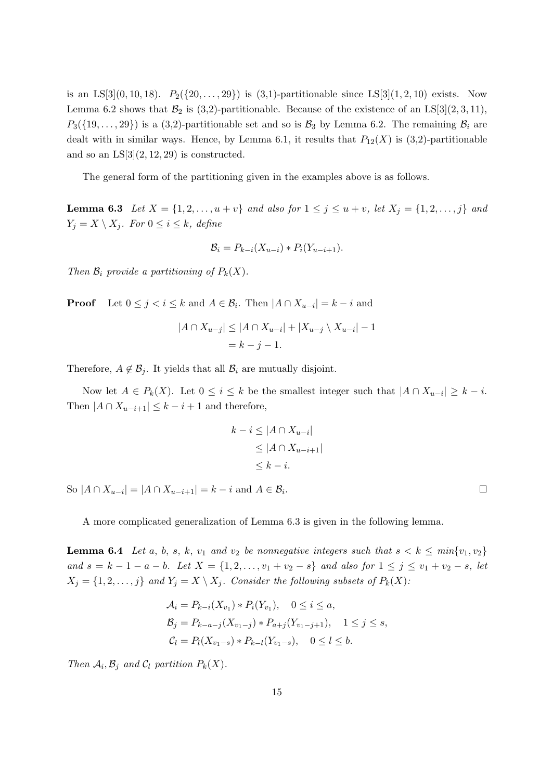is an LS[3](0, 10, 18).  $P_2({20, \ldots, 29})$  is (3,1)-partitionable since LS[3](1, 2, 10) exists. Now Lemma 6.2 shows that  $\mathcal{B}_2$  is (3,2)-partitionable. Because of the existence of an LS[3](2, 3, 11),  $P_3({19}, \ldots, 29)$  is a (3,2)-partitionable set and so is  $B_3$  by Lemma 6.2. The remaining  $B_i$  are dealt with in similar ways. Hence, by Lemma 6.1, it results that  $P_{12}(X)$  is (3,2)-partitionable and so an  $LS[3](2, 12, 29)$  is constructed.

The general form of the partitioning given in the examples above is as follows.

**Lemma 6.3** Let  $X = \{1, 2, ..., u + v\}$  and also for  $1 \le j \le u + v$ , let  $X_j = \{1, 2, ..., j\}$  and  $Y_j = X \setminus X_j$ . For  $0 \leq i \leq k$ , define

$$
\mathcal{B}_i = P_{k-i}(X_{u-i}) \ast P_i(Y_{u-i+1}).
$$

Then  $\mathcal{B}_i$  provide a partitioning of  $P_k(X)$ .

**Proof** Let  $0 \leq j < i \leq k$  and  $A \in \mathcal{B}_i$ . Then  $|A \cap X_{u-i}| = k - i$  and

$$
|A \cap X_{u-j}| \le |A \cap X_{u-i}| + |X_{u-j} \setminus X_{u-i}| - 1
$$
  
=  $k - j - 1$ .

Therefore,  $A \notin \mathcal{B}_i$ . It yields that all  $\mathcal{B}_i$  are mutually disjoint.

Now let  $A \in P_k(X)$ . Let  $0 \leq i \leq k$  be the smallest integer such that  $|A \cap X_{u-i}| \geq k-i$ . Then  $|A \cap X_{u-i+1}| \leq k - i + 1$  and therefore,

$$
k - i \leq |A \cap X_{u-i}|
$$
  
\n
$$
\leq |A \cap X_{u-i+1}|
$$
  
\n
$$
\leq k - i.
$$

So  $|A \cap X_{u-i}| = |A \cap X_{u-i+1}| = k - i$  and  $A \in \mathcal{B}_i$ 

A more complicated generalization of Lemma 6.3 is given in the following lemma.

**Lemma 6.4** Let a, b, s, k, v<sub>1</sub> and v<sub>2</sub> be nonnegative integers such that  $s < k \leq min\{v_1, v_2\}$ and  $s = k - 1 - a - b$ . Let  $X = \{1, 2, ..., v_1 + v_2 - s\}$  and also for  $1 \le j \le v_1 + v_2 - s$ , let  $X_j = \{1, 2, \ldots, j\}$  and  $Y_j = X \setminus X_j$ . Consider the following subsets of  $P_k(X)$ :

$$
\mathcal{A}_i = P_{k-i}(X_{v_1}) * P_i(Y_{v_1}), \quad 0 \le i \le a,
$$
  
\n
$$
\mathcal{B}_j = P_{k-a-j}(X_{v_1-j}) * P_{a+j}(Y_{v_1-j+1}), \quad 1 \le j \le s,
$$
  
\n
$$
\mathcal{C}_l = P_l(X_{v_1-s}) * P_{k-l}(Y_{v_1-s}), \quad 0 \le l \le b.
$$

Then  $\mathcal{A}_i, \mathcal{B}_j$  and  $\mathcal{C}_l$  partition  $P_k(X)$ .

.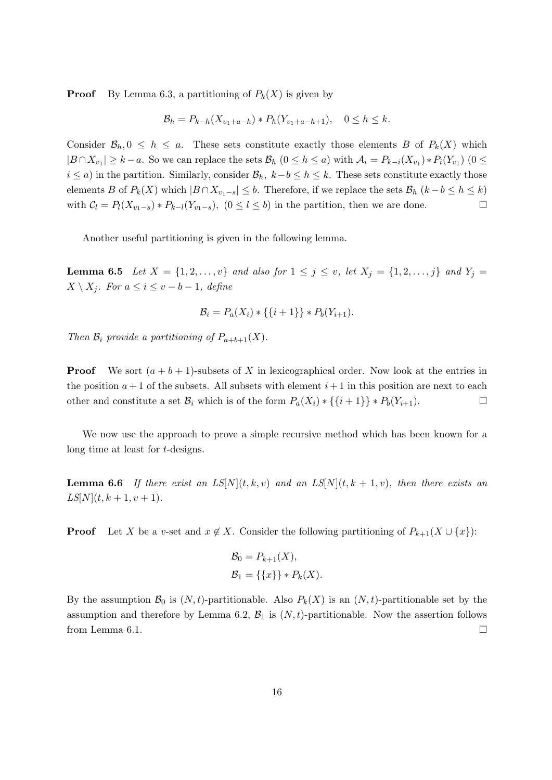**Proof** By Lemma 6.3, a partitioning of  $P_k(X)$  is given by

$$
\mathcal{B}_h = P_{k-h}(X_{v_1+a-h}) * P_h(Y_{v_1+a-h+1}), \quad 0 \le h \le k.
$$

Consider  $\mathcal{B}_h, 0 \leq h \leq a$ . These sets constitute exactly those elements B of  $P_k(X)$  which  $|B \cap X_{v_1}| \geq k - a$ . So we can replace the sets  $\mathcal{B}_h$   $(0 \leq h \leq a)$  with  $\mathcal{A}_i = P_{k-i}(X_{v_1}) * P_i(Y_{v_1})$   $(0 \leq$  $i \leq a$ ) in the partition. Similarly, consider  $\mathcal{B}_h$ ,  $k-b \leq h \leq k$ . These sets constitute exactly those elements B of  $P_k(X)$  which  $|B \cap X_{v_1-s}| \leq b$ . Therefore, if we replace the sets  $\mathcal{B}_h$   $(k-b \leq h \leq k)$ with  $C_l = P_l(X_{v_1-s}) * P_{k-l}(Y_{v_1-s}), (0 \le l \le b)$  in the partition, then we are done.

Another useful partitioning is given in the following lemma.

**Lemma 6.5** Let  $X = \{1, 2, ..., v\}$  and also for  $1 \le j \le v$ , let  $X_j = \{1, 2, ..., j\}$  and  $Y_j =$  $X \setminus X_j$ . For  $a \leq i \leq v - b - 1$ , define

$$
\mathcal{B}_i = P_a(X_i) * \{\{i+1\}\} * P_b(Y_{i+1}).
$$

Then  $\mathcal{B}_i$  provide a partitioning of  $P_{a+b+1}(X)$ .

**Proof** We sort  $(a + b + 1)$ -subsets of X in lexicographical order. Now look at the entries in the position  $a + 1$  of the subsets. All subsets with element  $i + 1$  in this position are next to each other and constitute a set  $\mathcal{B}_i$  which is of the form  $P_a(X_i) * \{\{i+1\}\} * P_b(Y_{i+1})$ .

We now use the approach to prove a simple recursive method which has been known for a long time at least for t-designs.

**Lemma 6.6** If there exist an  $LS[N](t, k, v)$  and an  $LS[N](t, k + 1, v)$ , then there exists an  $LS[N](t, k + 1, v + 1).$ 

**Proof** Let X be a v-set and  $x \notin X$ . Consider the following partitioning of  $P_{k+1}(X \cup \{x\})$ :

$$
\mathcal{B}_0 = P_{k+1}(X), \n\mathcal{B}_1 = \{\{x\}\} * P_k(X).
$$

By the assumption  $\mathcal{B}_0$  is  $(N, t)$ -partitionable. Also  $P_k(X)$  is an  $(N, t)$ -partitionable set by the assumption and therefore by Lemma 6.2,  $\mathcal{B}_1$  is  $(N, t)$ -partitionable. Now the assertion follows from Lemma 6.1.  $\Box$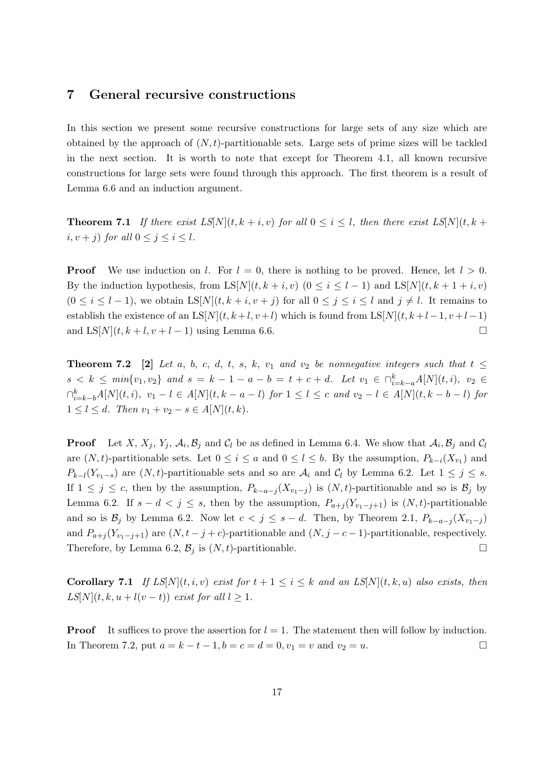#### 7 General recursive constructions

In this section we present some recursive constructions for large sets of any size which are obtained by the approach of  $(N, t)$ -partitionable sets. Large sets of prime sizes will be tackled in the next section. It is worth to note that except for Theorem 4.1, all known recursive constructions for large sets were found through this approach. The first theorem is a result of Lemma 6.6 and an induction argument.

**Theorem 7.1** If there exist  $LS[N](t, k + i, v)$  for all  $0 \le i \le l$ , then there exist  $LS[N](t, k + i)$ i,  $v + j$ ) for all  $0 \le j \le i \le l$ .

**Proof** We use induction on l. For  $l = 0$ , there is nothing to be proved. Hence, let  $l > 0$ . By the induction hypothesis, from  $LS[N](t, k + i, v)$   $(0 \le i \le l - 1)$  and  $LS[N](t, k + 1 + i, v)$  $(0 \le i \le l-1)$ , we obtain  $LS[N](t, k+i, v+j)$  for all  $0 \le j \le i \le l$  and  $j \ne l$ . It remains to establish the existence of an LS[N](t, k +l, v +l) which is found from LS[N](t, k +l-1, v +l-1) and  $LS[N](t, k+l, v+l-1)$  using Lemma 6.6.

**Theorem 7.2** [2] Let a, b, c, d, t, s, k, v<sub>1</sub> and v<sub>2</sub> be nonnegative integers such that  $t \leq$  $s < k \leq min\{v_1, v_2\}$  and  $s = k - 1 - a - b = t + c + d$ . Let  $v_1 \in \bigcap_{i=k-a}^k A[N](t, i)$ ,  $v_2 \in$  $\bigcap_{i=k-b}^{k} A[N](t, i), v_1 - l \in A[N](t, k - a - l)$  for  $1 ≤ l ≤ c$  and  $v_2 - l ∈ A[N](t, k - b - l)$  for  $1 \leq l \leq d$ . Then  $v_1 + v_2 - s \in A[N](t, k)$ .

**Proof** Let X,  $X_j$ ,  $Y_j$ ,  $\mathcal{A}_i$ ,  $\mathcal{B}_j$  and  $\mathcal{C}_l$  be as defined in Lemma 6.4. We show that  $\mathcal{A}_i$ ,  $\mathcal{B}_j$  and  $\mathcal{C}_l$ are  $(N, t)$ -partitionable sets. Let  $0 \le i \le a$  and  $0 \le l \le b$ . By the assumption,  $P_{k-i}(X_{v_1})$  and  $P_{k-l}(Y_{v_1-s})$  are  $(N, t)$ -partitionable sets and so are  $\mathcal{A}_i$  and  $\mathcal{C}_l$  by Lemma 6.2. Let  $1 \leq j \leq s$ . If  $1 \leq j \leq c$ , then by the assumption,  $P_{k-a-j}(X_{v_1-j})$  is  $(N, t)$ -partitionable and so is  $\mathcal{B}_j$  by Lemma 6.2. If  $s - d < j \leq s$ , then by the assumption,  $P_{a+j}(Y_{v_1-j+1})$  is  $(N, t)$ -partitionable and so is  $\mathcal{B}_j$  by Lemma 6.2. Now let  $c < j \leq s - d$ . Then, by Theorem 2.1,  $P_{k-a-j}(X_{v_1-j})$ and  $P_{a+j}(Y_{v_1-j+1})$  are  $(N, t-j+c)$ -partitionable and  $(N, j-c-1)$ -partitionable, respectively. Therefore, by Lemma 6.2,  $\mathcal{B}_j$  is  $(N, t)$ -partitionable.

**Corollary 7.1** If  $LS[N](t, i, v)$  exist for  $t + 1 \leq i \leq k$  and an  $LS[N](t, k, u)$  also exists, then  $LS[N](t, k, u + l(v - t))$  exist for all  $l \geq 1$ .

**Proof** It suffices to prove the assertion for  $l = 1$ . The statement then will follow by induction. In Theorem 7.2, put  $a = k - t - 1$ ,  $b = c = d = 0$ ,  $v_1 = v$  and  $v_2 = u$ . □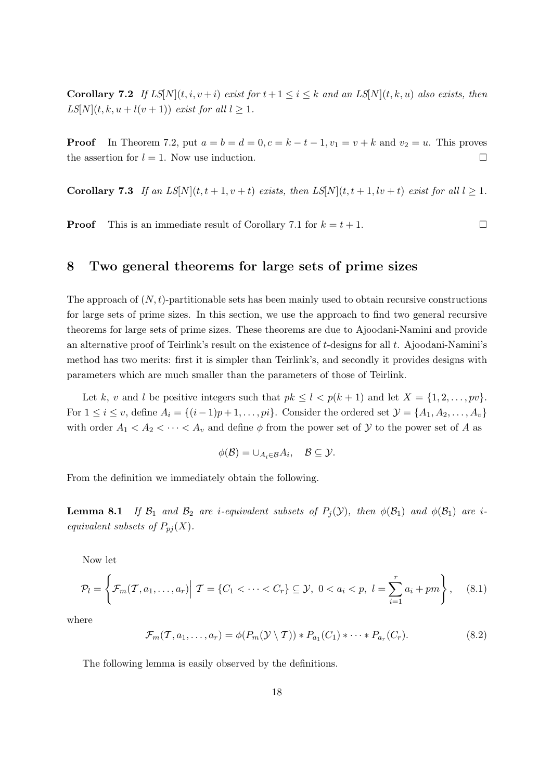**Corollary 7.2** If  $LS[N](t, i, v + i)$  exist for  $t + 1 \le i \le k$  and an  $LS[N](t, k, u)$  also exists, then  $LS[N](t, k, u + l(v + 1))$  exist for all  $l \geq 1$ .

**Proof** In Theorem 7.2, put  $a = b = d = 0, c = k - t - 1, v_1 = v + k$  and  $v_2 = u$ . This proves the assertion for  $l = 1$ . Now use induction.

**Corollary 7.3** If an  $LS[N](t, t+1, v+t)$  exists, then  $LS[N](t, t+1, tv+t)$  exist for all  $l \geq 1$ .

**Proof** This is an immediate result of Corollary 7.1 for  $k = t + 1$ .

#### 8 Two general theorems for large sets of prime sizes

The approach of  $(N, t)$ -partitionable sets has been mainly used to obtain recursive constructions for large sets of prime sizes. In this section, we use the approach to find two general recursive theorems for large sets of prime sizes. These theorems are due to Ajoodani-Namini and provide an alternative proof of Teirlink's result on the existence of  $t$ -designs for all  $t$ . Ajoodani-Namini's method has two merits: first it is simpler than Teirlink's, and secondly it provides designs with parameters which are much smaller than the parameters of those of Teirlink.

Let k, v and l be positive integers such that  $pk \leq l < p(k + 1)$  and let  $X = \{1, 2, ..., pv\}$ . For  $1 \leq i \leq v$ , define  $A_i = \{(i-1)p+1,\ldots, pi\}$ . Consider the ordered set  $\mathcal{Y} = \{A_1, A_2, \ldots, A_v\}$ with order  $A_1 < A_2 < \cdots < A_v$  and define  $\phi$  from the power set of Y to the power set of A as

$$
\phi(\mathcal{B})=\cup_{A_i\in\mathcal{B}}A_i,\quad \mathcal{B}\subseteq\mathcal{Y}.
$$

From the definition we immediately obtain the following.

**Lemma 8.1** If  $\mathcal{B}_1$  and  $\mathcal{B}_2$  are *i*-equivalent subsets of  $P_i(\mathcal{Y})$ , then  $\phi(\mathcal{B}_1)$  and  $\phi(\mathcal{B}_1)$  are *i*equivalent subsets of  $P_{pj}(X)$ .

Now let

$$
\mathcal{P}_l = \left\{ \mathcal{F}_m(T, a_1, \dots, a_r) \middle| T = \{ C_1 < \dots < C_r \} \subseteq \mathcal{Y}, \ 0 < a_i < p, \ l = \sum_{i=1}^r a_i + pm \right\}, \quad (8.1)
$$

where

$$
\mathcal{F}_m(\mathcal{T}, a_1, \dots, a_r) = \phi(P_m(\mathcal{Y} \setminus \mathcal{T})) * P_{a_1}(C_1) * \dots * P_{a_r}(C_r).
$$
\n
$$
(8.2)
$$

The following lemma is easily observed by the definitions.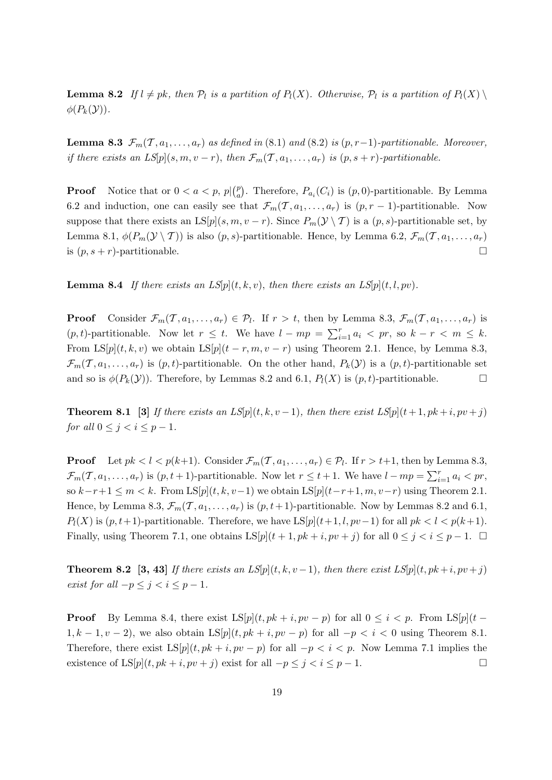**Lemma 8.2** If  $l \neq pk$ , then  $\mathcal{P}_l$  is a partition of  $P_l(X)$ . Otherwise,  $\mathcal{P}_l$  is a partition of  $P_l(X) \setminus$  $\phi(P_k(\mathcal{Y}))$ .

**Lemma 8.3**  $\mathcal{F}_m(\mathcal{T}, a_1, \ldots, a_r)$  as defined in (8.1) and (8.2) is  $(p, r-1)$ -partitionable. Moreover, if there exists an  $LS[p](s, m, v - r)$ , then  $\mathcal{F}_m(\mathcal{T}, a_1, \ldots, a_r)$  is  $(p, s + r)$ -partitionable.

**Proof** Notice that or  $0 < a < p$ ,  $p|(p_a^p)$ <sup>p</sup><sub>a</sub>). Therefore,  $P_{a_i}(C_i)$  is  $(p, 0)$ -partitionable. By Lemma 6.2 and induction, one can easily see that  $\mathcal{F}_m(\mathcal{T}, a_1, \ldots, a_r)$  is  $(p, r-1)$ -partitionable. Now suppose that there exists an  $LS[p](s, m, v - r)$ . Since  $P_m(\mathcal{Y} \setminus \mathcal{T})$  is a  $(p, s)$ -partitionable set, by Lemma 8.1,  $\phi(P_m(\mathcal{Y}\setminus\mathcal{T}))$  is also  $(p, s)$ -partitionable. Hence, by Lemma 6.2,  $\mathcal{F}_m(\mathcal{T}, a_1, \ldots, a_r)$ is  $(p, s + r)$ -partitionable.

**Lemma 8.4** If there exists an  $LS[p](t, k, v)$ , then there exists an  $LS[p](t, l, pv)$ .

**Proof** Consider  $\mathcal{F}_m(\mathcal{T}, a_1, \ldots, a_r) \in \mathcal{P}_l$ . If  $r > t$ , then by Lemma 8.3,  $\mathcal{F}_m(\mathcal{T}, a_1, \ldots, a_r)$  is  $(p, t)$ -partitionable. Now let  $r \leq t$ . We have  $l - mp = \sum_{i=1}^{r} a_i \langle pr, so \ k - r \langle m \leq k \rangle$ . From  $LS[p](t, k, v)$  we obtain  $LS[p](t - r, m, v - r)$  using Theorem 2.1. Hence, by Lemma 8.3,  $\mathcal{F}_m(\mathcal{T}, a_1, \ldots, a_r)$  is  $(p, t)$ -partitionable. On the other hand,  $P_k(\mathcal{Y})$  is a  $(p, t)$ -partitionable set and so is  $\phi(P_k(\mathcal{Y}))$ . Therefore, by Lemmas 8.2 and 6.1,  $P_l(X)$  is  $(p, t)$ -partitionable.

**Theorem 8.1** [3] If there exists an LS[p](t, k, v – 1), then there exist LS[p](t+1, pk+i, pv+j) for all  $0 \leq j < i \leq p-1$ .

**Proof** Let  $pk < l < p(k+1)$ . Consider  $\mathcal{F}_m(\mathcal{T}, a_1, \ldots, a_r) \in \mathcal{P}_l$ . If  $r > t+1$ , then by Lemma 8.3,  $\mathcal{F}_m(\mathcal{T}, a_1, \ldots, a_r)$  is  $(p, t+1)$ -partitionable. Now let  $r \le t+1$ . We have  $l - mp = \sum_{i=1}^r a_i < pr$ , so  $k-r+1 \leq m < k$ . From  $\text{LS}[p](t, k, v-1)$  we obtain  $\text{LS}[p](t-r+1, m, v-r)$  using Theorem 2.1. Hence, by Lemma 8.3,  $\mathcal{F}_m(\mathcal{T}, a_1, \ldots, a_r)$  is  $(p, t+1)$ -partitionable. Now by Lemmas 8.2 and 6.1,  $P_l(X)$  is  $(p, t+1)$ -partitionable. Therefore, we have  $LS[p](t+1, l, pv-1)$  for all  $pk < l < p(k+1)$ . Finally, using Theorem 7.1, one obtains  $LS[p](t + 1, pk + i, pv + j)$  for all  $0 \le j \le i \le p - 1$ .  $\square$ 

**Theorem 8.2** [3, 43] If there exists an  $LS[p](t, k, v-1)$ , then there exist  $LS[p](t, pk+i, pv+j)$ exist for all  $-p \leq j < i \leq p-1$ .

**Proof** By Lemma 8.4, there exist  $LS[p](t, pk + i, pv - p)$  for all  $0 \leq i \leq p$ . From  $LS[p](t - p)$  $1, k-1, v-2$ , we also obtain  $LS[p](t, pk + i, pv - p)$  for all  $-p < i < 0$  using Theorem 8.1. Therefore, there exist  $LS[p](t, pk + i, pv - p)$  for all  $-p < i < p$ . Now Lemma 7.1 implies the existence of  $LS[p](t, pk + i, pv + j)$  exist for all  $-p \leq j < i \leq p - 1$ .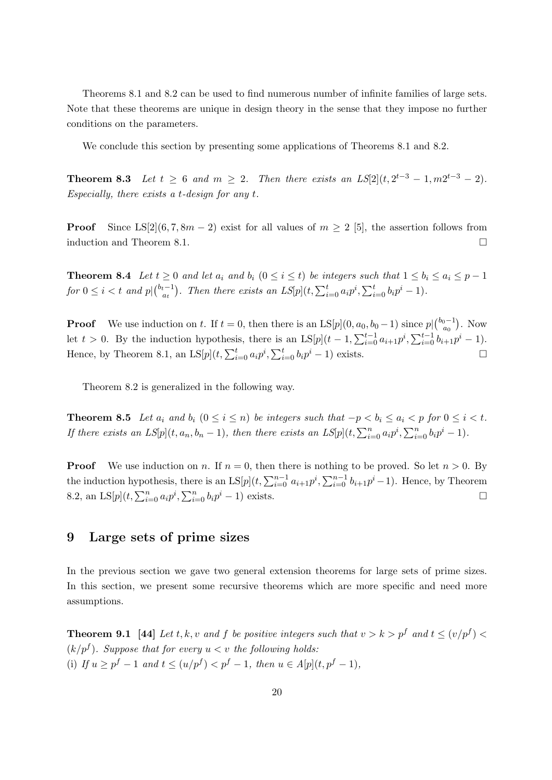Theorems 8.1 and 8.2 can be used to find numerous number of infinite families of large sets. Note that these theorems are unique in design theory in the sense that they impose no further conditions on the parameters.

We conclude this section by presenting some applications of Theorems 8.1 and 8.2.

**Theorem 8.3** Let  $t \ge 6$  and  $m \ge 2$ . Then there exists an  $LS[2](t, 2^{t-3} - 1, m2^{t-3} - 2)$ . Especially, there exists a t-design for any  $t$ .

**Proof** Since LS[2](6, 7, 8m – 2) exist for all values of  $m \ge 2$  [5], the assertion follows from induction and Theorem 8.1.

**Theorem 8.4** Let  $t \geq 0$  and let  $a_i$  and  $b_i$   $(0 \leq i \leq t)$  be integers such that  $1 \leq b_i \leq a_i \leq p-1$ for  $0 \leq i < t$  and  $p\vert {b_t-1 \choose a}$  $\sum_{i=0}^{t-1} a_i p^i$ , Then there exists an  $LS[p](t, \sum_{i=0}^t a_i p^i, \sum_{i=0}^t b_i p^i - 1)$ .

**Proof** We use induction on t. If  $t = 0$ , then there is an  $LS[p](0, a_0, b_0 - 1)$  since  $p|_{a_0}^{b_0-1}$  $a_0^{0-1}$ ). Now let  $t > 0$ . By the induction hypothesis, there is an  $LS[p](t-1, \sum_{i=0}^{t-1} a_{i+1}p^i, \sum_{i=0}^{t-1} b_{i+1}p^i - 1)$ . Hence, by Theorem 8.1, an  $LS[p](t, \sum_{i=0}^{t} a_i p^i, \sum_{i=0}^{t} b_i p^i - 1)$  exists.

Theorem 8.2 is generalized in the following way.

**Theorem 8.5** Let  $a_i$  and  $b_i$   $(0 \leq i \leq n)$  be integers such that  $-p < b_i \leq a_i < p$  for  $0 \leq i < t$ . If there exists an  $LS[p](t, a_n, b_n - 1)$ , then there exists an  $LS[p](t, \sum_{i=0}^n a_i p^i, \sum_{i=0}^n b_i p^i - 1)$ .

**Proof** We use induction on n. If  $n = 0$ , then there is nothing to be proved. So let  $n > 0$ . By the induction hypothesis, there is an  $LS[p](t, \sum_{i=0}^{n-1} a_{i+1}p^i, \sum_{i=0}^{n-1} b_{i+1}p^i - 1)$ . Hence, by Theorem 8.2, an  $LS[p](t, \sum_{i=0}^{n} a_i p^i, \sum_{i=0}^{n} b_i p^i - 1)$  exists.

#### 9 Large sets of prime sizes

In the previous section we gave two general extension theorems for large sets of prime sizes. In this section, we present some recursive theorems which are more specific and need more assumptions.

**Theorem 9.1** [44] Let t, k, v and f be positive integers such that  $v > k > p^f$  and  $t \le (v/p^f)$  $(k/p^f)$ . Suppose that for every  $u < v$  the following holds: (i) If  $u \ge p^f - 1$  and  $t \le (u/p^f) < p^f - 1$ , then  $u \in A[p](t, p^f - 1)$ ,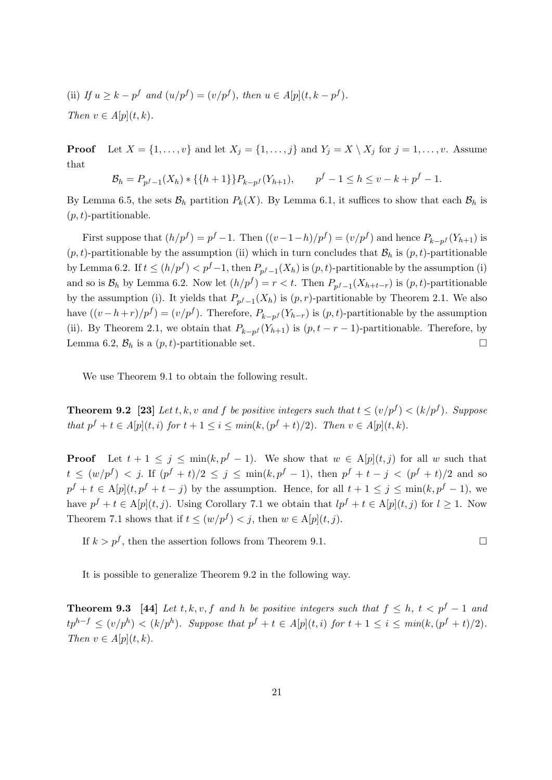(ii) If  $u \geq k - p^f$  and  $(u/p^f) = (v/p^f)$ , then  $u \in A[p](t, k - p^f)$ . Then  $v \in A[p](t, k)$ .

**Proof** Let  $X = \{1, \ldots, v\}$  and let  $X_j = \{1, \ldots, j\}$  and  $Y_j = X \setminus X_j$  for  $j = 1, \ldots, v$ . Assume that

$$
\mathcal{B}_h = P_{p^f - 1}(X_h) * \{ \{ h + 1 \} \} P_{k - p^f}(Y_{h+1}), \qquad p^f - 1 \le h \le v - k + p^f - 1.
$$

By Lemma 6.5, the sets  $\mathcal{B}_h$  partition  $P_k(X)$ . By Lemma 6.1, it suffices to show that each  $\mathcal{B}_h$  is  $(p, t)$ -partitionable.

First suppose that  $(h/p^f) = p^f - 1$ . Then  $((v - 1 - h)/p^f) = (v/p^f)$  and hence  $P_{k-p^f}(Y_{h+1})$  is  $(p, t)$ -partitionable by the assumption (ii) which in turn concludes that  $\mathcal{B}_h$  is  $(p, t)$ -partitionable by Lemma 6.2. If  $t \leq (h/p^f) < p^f-1$ , then  $P_{p^f-1}(X_h)$  is  $(p, t)$ -partitionable by the assumption (i) and so is  $\mathcal{B}_h$  by Lemma 6.2. Now let  $(h/p^f) = r < t$ . Then  $P_{p^f-1}(X_{h+t-r})$  is  $(p, t)$ -partitionable by the assumption (i). It yields that  $P_{p^f-1}(X_h)$  is  $(p,r)$ -partitionable by Theorem 2.1. We also have  $((v-h+r)/p^f) = (v/p^f)$ . Therefore,  $P_{k-p^f}(Y_{h-r})$  is  $(p, t)$ -partitionable by the assumption (ii). By Theorem 2.1, we obtain that  $P_{k-p}f(Y_{h+1})$  is  $(p, t-r-1)$ -partitionable. Therefore, by Lemma 6.2,  $\mathcal{B}_h$  is a  $(p, t)$ -partitionable set.

We use Theorem 9.1 to obtain the following result.

**Theorem 9.2** [23] Let t, k, v and f be positive integers such that  $t \leq (v/p^f) < (k/p^f)$ . Suppose that  $p^f + t \in A[p](t, i)$  for  $t + 1 \leq i \leq min(k, (p^f + t)/2)$ . Then  $v \in A[p](t, k)$ .

**Proof** Let  $t + 1 \leq j \leq \min(k, p^f - 1)$ . We show that  $w \in A[p](t, j)$  for all w such that  $t \leq (w/p^f) < j$ . If  $(p^f + t)/2 \leq j \leq \min(k, p^f - 1)$ , then  $p^f + t - j < (p^f + t)/2$  and so  $p^f + t \in A[p](t, p^f + t - j)$  by the assumption. Hence, for all  $t + 1 \leq j \leq \min(k, p^f - 1)$ , we have  $p^f + t \in A[p](t, j)$ . Using Corollary 7.1 we obtain that  $lp^f + t \in A[p](t, j)$  for  $l \geq 1$ . Now Theorem 7.1 shows that if  $t \leq (w/p^f) < j$ , then  $w \in A[p](t, j)$ .

If  $k > p^f$ , then the assertion follows from Theorem 9.1.

It is possible to generalize Theorem 9.2 in the following way.

**Theorem 9.3** [44] Let t, k, v, f and h be positive integers such that  $f \leq h$ ,  $t < p^f - 1$  and  $tp^{h-f} \le (v/p^h) < (k/p^h)$ . Suppose that  $p^f + t \in A[p](t,i)$  for  $t+1 \le i \le min(k, (p^f + t)/2)$ . Then  $v \in A[p](t, k)$ .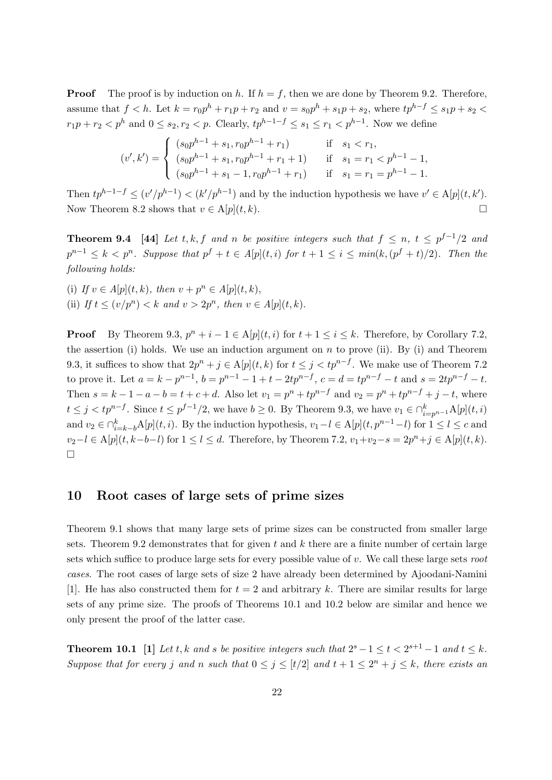**Proof** The proof is by induction on h. If  $h = f$ , then we are done by Theorem 9.2. Therefore, assume that  $f < h$ . Let  $k = r_0 p^h + r_1 p + r_2$  and  $v = s_0 p^h + s_1 p + s_2$ , where  $tp^{h-f} \leq s_1 p + s_2$  $r_1p + r_2 < p^h$  and  $0 \le s_2, r_2 < p$ . Clearly,  $tp^{h-1-f} \le s_1 \le r_1 < p^{h-1}$ . Now we define

$$
(v',k') = \begin{cases} (s_0p^{h-1} + s_1, r_0p^{h-1} + r_1) & \text{if } s_1 < r_1, \\ (s_0p^{h-1} + s_1, r_0p^{h-1} + r_1 + 1) & \text{if } s_1 = r_1 < p^{h-1} - 1, \\ (s_0p^{h-1} + s_1 - 1, r_0p^{h-1} + r_1) & \text{if } s_1 = r_1 = p^{h-1} - 1. \end{cases}
$$

Then  $tp^{h-1-f} \le (v'/p^{h-1}) < (k'/p^{h-1})$  and by the induction hypothesis we have  $v' \in A[p](t, k')$ . Now Theorem 8.2 shows that  $v \in A[p](t, k)$ .

**Theorem 9.4** [44] Let t, k, f and n be positive integers such that  $f \le n$ ,  $t \le p^{f-1}/2$  and  $p^{n-1} \leq k < p^n$ . Suppose that  $p^f + t \in A[p](t, i)$  for  $t + 1 \leq i \leq min(k, (p^f + t)/2)$ . Then the following holds:

(i) If  $v \in A[p](t, k)$ , then  $v + p^n \in A[p](t, k)$ , (ii) If  $t \le (v/p^n) < k$  and  $v > 2p^n$ , then  $v \in A[p](t, k)$ .

**Proof** By Theorem 9.3,  $p^n + i - 1 \in A[p](t, i)$  for  $t + 1 \le i \le k$ . Therefore, by Corollary 7.2, the assertion (i) holds. We use an induction argument on  $n$  to prove (ii). By (i) and Theorem 9.3, it suffices to show that  $2p^{n} + j \in A[p](t, k)$  for  $t \leq j < kp^{n-f}$ . We make use of Theorem 7.2 to prove it. Let  $a = k - p^{n-1}$ ,  $b = p^{n-1} - 1 + t - 2tp^{n-f}$ ,  $c = d = tp^{n-f} - t$  and  $s = 2tp^{n-f} - t$ . Then  $s = k - 1 - a - b = t + c + d$ . Also let  $v_1 = p^n + tp^{n-f}$  and  $v_2 = p^n + tp^{n-f} + j - t$ , where  $t \leq j < tp^{n-f}$ . Since  $t \leq p^{f-1}/2$ , we have  $b \geq 0$ . By Theorem 9.3, we have  $v_1 \in \bigcap_{i=p^{n-1}}^{k} A[p](t, i)$ and  $v_2 \in \bigcap_{i=k-b}^k A[p](t, i)$ . By the induction hypothesis,  $v_1 - l \in A[p](t, p^{n-1} - l)$  for  $1 \leq l \leq c$  and  $v_2-l \in A[p](t, k-b-l)$  for  $1 \leq l \leq d$ . Therefore, by Theorem 7.2,  $v_1+v_2-s=2p^n+j \in A[p](t, k)$ .  $\Box$ 

#### 10 Root cases of large sets of prime sizes

Theorem 9.1 shows that many large sets of prime sizes can be constructed from smaller large sets. Theorem 9.2 demonstrates that for given t and  $k$  there are a finite number of certain large sets which suffice to produce large sets for every possible value of  $v$ . We call these large sets root cases. The root cases of large sets of size 2 have already been determined by Ajoodani-Namini [1]. He has also constructed them for  $t = 2$  and arbitrary k. There are similar results for large sets of any prime size. The proofs of Theorems 10.1 and 10.2 below are similar and hence we only present the proof of the latter case.

**Theorem 10.1** [1] Let t, k and s be positive integers such that  $2^s - 1 \le t < 2^{s+1} - 1$  and  $t \le k$ . Suppose that for every j and n such that  $0 \le j \le [t/2]$  and  $t + 1 \le 2^n + j \le k$ , there exists an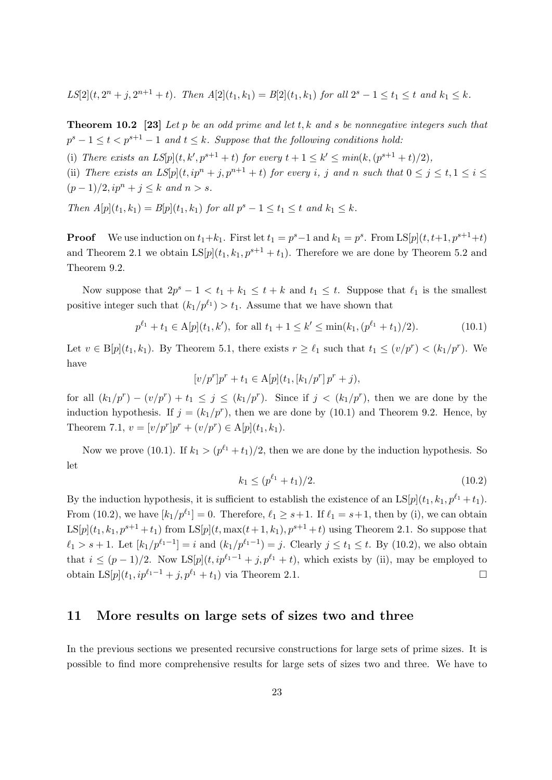$LS[2](t, 2^n + j, 2^{n+1} + t)$ . Then  $A[2](t_1, k_1) = B[2](t_1, k_1)$  for all  $2^s - 1 \le t_1 \le t$  and  $k_1 \le k$ .

**Theorem 10.2** [23] Let p be an odd prime and let t, k and s be nonnegative integers such that  $p^{s}-1 \leq t < p^{s+1}-1$  and  $t \leq k$ . Suppose that the following conditions hold:

(i) There exists an  $LS[p](t, k', p^{s+1} + t)$  for every  $t + 1 \leq k' \leq min(k, (p^{s+1} + t)/2)$ ,

(ii) There exists an  $LS[p](t, ip^n + j, p^{n+1} + t)$  for every i, j and n such that  $0 \le j \le t, 1 \le i \le t$  $(p-1)/2$ ,  $ip^{n} + j \leq k$  and  $n > s$ .

Then  $A[p](t_1, k_1) = B[p](t_1, k_1)$  for all  $p^s - 1 \le t_1 \le t$  and  $k_1 \le k$ .

**Proof** We use induction on  $t_1+k_1$ . First let  $t_1 = p^s-1$  and  $k_1 = p^s$ . From  $LS[p](t, t+1, p^{s+1}+t)$ and Theorem 2.1 we obtain  $LS[p](t_1, k_1, p^{s+1} + t_1)$ . Therefore we are done by Theorem 5.2 and Theorem 9.2.

Now suppose that  $2p^s - 1 < t_1 + k_1 \le t + k$  and  $t_1 \le t$ . Suppose that  $\ell_1$  is the smallest positive integer such that  $(k_1/p^{\ell_1}) > t_1$ . Assume that we have shown that

$$
p^{\ell_1} + t_1 \in \mathcal{A}[p](t_1, k'), \text{ for all } t_1 + 1 \le k' \le \min(k_1, (p^{\ell_1} + t_1)/2). \tag{10.1}
$$

Let  $v \in B[p](t_1, k_1)$ . By Theorem 5.1, there exists  $r \geq \ell_1$  such that  $t_1 \leq (v/p^r) < (k_1/p^r)$ . We have

$$
[v/p^r]p^r + t_1 \in A[p](t_1, [k_1/p^r]p^r + j),
$$

for all  $(k_1/p^r) - (v/p^r) + t_1 \leq j \leq (k_1/p^r)$ . Since if  $j < (k_1/p^r)$ , then we are done by the induction hypothesis. If  $j = (k_1/p^r)$ , then we are done by (10.1) and Theorem 9.2. Hence, by Theorem 7.1,  $v = [v/p^r]p^r + (v/p^r) \in A[p](t_1, k_1)$ .

Now we prove (10.1). If  $k_1 > (p^{\ell_1} + t_1)/2$ , then we are done by the induction hypothesis. So let

$$
k_1 \le (p^{\ell_1} + t_1)/2. \tag{10.2}
$$

By the induction hypothesis, it is sufficient to establish the existence of an  $LS[p](t_1, k_1, p^{\ell_1} + t_1)$ . From (10.2), we have  $[k_1/p^{\ell_1}] = 0$ . Therefore,  $\ell_1 \geq s+1$ . If  $\ell_1 = s+1$ , then by (i), we can obtain  $LS[p](t_1, k_1, p^{s+1} + t_1)$  from  $LS[p](t, \max(t + 1, k_1), p^{s+1} + t)$  using Theorem 2.1. So suppose that  $\ell_1 > s + 1$ . Let  $[k_1/p^{\ell_1-1}] = i$  and  $(k_1/p^{\ell_1-1}) = j$ . Clearly  $j \le t_1 \le t$ . By (10.2), we also obtain that  $i \leq (p-1)/2$ . Now LS[p](t,  $ip^{\ell_1-1} + j$ ,  $p^{\ell_1} + t$ ), which exists by (ii), may be employed to obtain LS[p](t<sub>1</sub>, ip<sup> $\ell_1$ -1</sup> + j, p<sup> $\ell_1$ </sup> + t<sub>1</sub>) via Theorem 2.1. □

#### 11 More results on large sets of sizes two and three

In the previous sections we presented recursive constructions for large sets of prime sizes. It is possible to find more comprehensive results for large sets of sizes two and three. We have to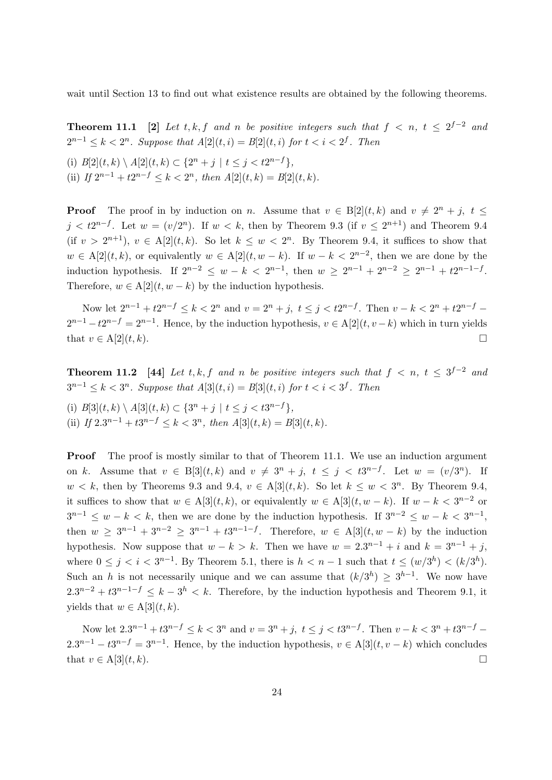wait until Section 13 to find out what existence results are obtained by the following theorems.

**Theorem 11.1** [2] Let t, k, f and n be positive integers such that  $f \le n$ ,  $t \le 2^{f-2}$  and  $2^{n-1} \leq k < 2^n$ . Suppose that  $A[2](t,i) = B[2](t,i)$  for  $t < i < 2^f$ . Then

(i)  $B[2](t, k) \setminus A[2](t, k) \subset \{2^n + j \mid t \leq j < t2^{n-f}\},$ (ii) If  $2^{n-1} + t2^{n-f} \le k < 2^n$ , then  $A[2](t, k) = B[2](t, k)$ .

**Proof** The proof in by induction on n. Assume that  $v \in B[2](t, k)$  and  $v \neq 2^n + j$ ,  $t \leq$  $j < t2^{n-f}$ . Let  $w = (v/2^n)$ . If  $w < k$ , then by Theorem 9.3 (if  $v \leq 2^{n+1}$ ) and Theorem 9.4 (if  $v > 2^{n+1}$ ),  $v \in A[2](t, k)$ . So let  $k \leq w < 2^n$ . By Theorem 9.4, it suffices to show that  $w \in A[2](t, k)$ , or equivalently  $w \in A[2](t, w - k)$ . If  $w - k < 2^{n-2}$ , then we are done by the induction hypothesis. If  $2^{n-2} \leq w - k < 2^{n-1}$ , then  $w \geq 2^{n-1} + 2^{n-2} \geq 2^{n-1} + t2^{n-1-f}$ . Therefore,  $w \in A[2](t, w - k)$  by the induction hypothesis.

Now let  $2^{n-1} + t2^{n-f} \le k < 2^n$  and  $v = 2^n + j$ ,  $t \le j < t2^{n-f}$ . Then  $v - k < 2^n + t2^{n-f}$  $2^{n-1} - t2^{n-f} = 2^{n-1}$ . Hence, by the induction hypothesis,  $v \in A[2](t, v - k)$  which in turn yields that  $v \in A[2](t, k)$ .

**Theorem 11.2** [44] Let t, k, f and n be positive integers such that  $f < n$ ,  $t \leq 3^{f-2}$  and  $3^{n-1} \leq k < 3^n$ . Suppose that  $A[3](t, i) = B[3](t, i)$  for  $t < i < 3^f$ . Then

(i)  $B[3](t, k) \setminus A[3](t, k) \subset \{3^n + j \mid t \leq j < t3^{n-f}\},$ (ii) If  $2 \cdot 3^{n-1} + t3^{n-f} \le k < 3^n$ , then  $A[3](t, k) = B[3](t, k)$ .

**Proof** The proof is mostly similar to that of Theorem 11.1. We use an induction argument on k. Assume that  $v \in B[3](t,k)$  and  $v \neq 3^n + j$ ,  $t \leq j < t3^{n-f}$ . Let  $w = (v/3^n)$ . If  $w < k$ , then by Theorems 9.3 and 9.4,  $v \in A[3](t, k)$ . So let  $k \leq w < 3^n$ . By Theorem 9.4, it suffices to show that  $w \in A[3](t, k)$ , or equivalently  $w \in A[3](t, w - k)$ . If  $w - k < 3^{n-2}$  or  $3^{n-1} \leq w - k < k$ , then we are done by the induction hypothesis. If  $3^{n-2} \leq w - k < 3^{n-1}$ , then  $w \ge 3^{n-1} + 3^{n-2} \ge 3^{n-1} + 3^{n-1-f}$ . Therefore,  $w \in A[3](t, w - k)$  by the induction hypothesis. Now suppose that  $w - k > k$ . Then we have  $w = 2 \cdot 3^{n-1} + i$  and  $k = 3^{n-1} + j$ , where  $0 \leq j \leq i \leq 3^{n-1}$ . By Theorem 5.1, there is  $h \leq n-1$  such that  $t \leq (w/3^h) \leq (k/3^h)$ . Such an h is not necessarily unique and we can assume that  $(k/3<sup>h</sup>) \ge 3<sup>h-1</sup>$ . We now have  $2 \cdot 3^{n-2} + t 3^{n-1-f} \leq k-3^h \leq k$ . Therefore, by the induction hypothesis and Theorem 9.1, it yields that  $w \in A[3](t, k)$ .

Now let  $2 \cdot 3^{n-1} + t 3^{n-f} \leq k < 3^n$  and  $v = 3^n + j$ ,  $t \leq j < t 3^{n-f}$ . Then  $v - k < 3^n + t 3^{n-f}$  $2 \cdot 3^{n-1} - t 3^{n-f} = 3^{n-1}$ . Hence, by the induction hypothesis,  $v \in A[3](t, v - k)$  which concludes that  $v \in A[3](t, k)$ .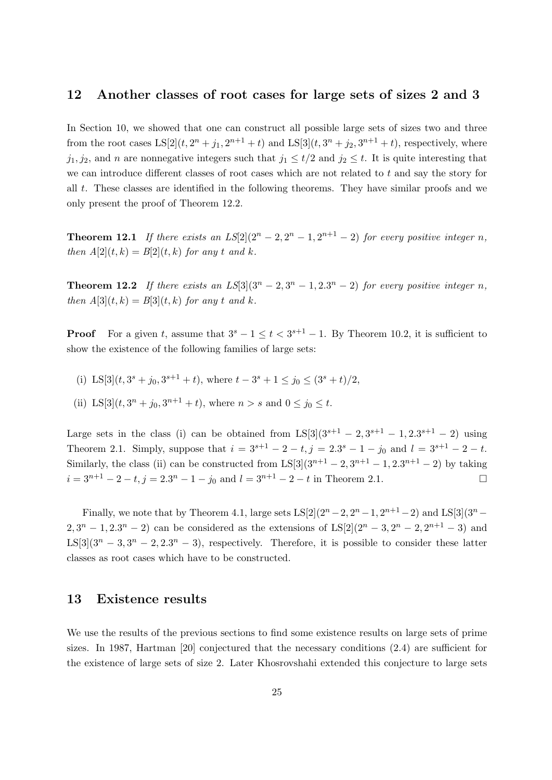#### 12 Another classes of root cases for large sets of sizes 2 and 3

In Section 10, we showed that one can construct all possible large sets of sizes two and three from the root cases  $LS[2](t, 2^{n} + j_1, 2^{n+1} + t)$  and  $LS[3](t, 3^{n} + j_2, 3^{n+1} + t)$ , respectively, where  $j_1, j_2$ , and n are nonnegative integers such that  $j_1 \le t/2$  and  $j_2 \le t$ . It is quite interesting that we can introduce different classes of root cases which are not related to t and say the story for all t. These classes are identified in the following theorems. They have similar proofs and we only present the proof of Theorem 12.2.

**Theorem 12.1** If there exists an  $LS[2](2^{n} - 2, 2^{n} - 1, 2^{n+1} - 2)$  for every positive integer n, then  $A[2](t, k) = B[2](t, k)$  for any t and k.

**Theorem 12.2** If there exists an  $LS[3](3^n - 2, 3^n - 1, 2 \cdot 3^n - 2)$  for every positive integer n, then  $A[3](t, k) = B[3](t, k)$  for any t and k.

**Proof** For a given t, assume that  $3^s - 1 \le t < 3^{s+1} - 1$ . By Theorem 10.2, it is sufficient to show the existence of the following families of large sets:

- (i) LS[3] $(t, 3^s + j_0, 3^{s+1} + t)$ , where  $t 3^s + 1 \le j_0 \le (3^s + t)/2$ ,
- (ii) LS[3] $(t, 3^n + j_0, 3^{n+1} + t)$ , where  $n > s$  and  $0 \le j_0 \le t$ .

Large sets in the class (i) can be obtained from  $LS[3](3^{s+1} - 2, 3^{s+1} - 1, 2 \cdot 3^{s+1} - 2)$  using Theorem 2.1. Simply, suppose that  $i = 3^{s+1} - 2 - t$ ,  $j = 2 \cdot 3^s - 1 - j_0$  and  $l = 3^{s+1} - 2 - t$ . Similarly, the class (ii) can be constructed from  $LS[3](3^{n+1} - 2, 3^{n+1} - 1, 2, 3^{n+1} - 2)$  by taking  $i = 3^{n+1} - 2 - t$ ,  $j = 2 \cdot 3^n - 1 - j_0$  and  $l = 3^{n+1} - 2 - t$  in Theorem 2.1.

Finally, we note that by Theorem 4.1, large sets  $LS[2](2^{n} - 2, 2^{n} - 1, 2^{n+1} - 2)$  and  $LS[3](3^{n} 2, 3^{n} - 1, 2 \cdot 3^{n} - 2$  can be considered as the extensions of LS[2](2<sup>n</sup> – 3, 2<sup>n</sup> – 2, 2<sup>n+1</sup> – 3) and LS[3](3<sup>n</sup> – 3, 3<sup>n</sup> – 2, 2.3<sup>n</sup> – 3), respectively. Therefore, it is possible to consider these latter classes as root cases which have to be constructed.

#### 13 Existence results

We use the results of the previous sections to find some existence results on large sets of prime sizes. In 1987, Hartman [20] conjectured that the necessary conditions (2.4) are sufficient for the existence of large sets of size 2. Later Khosrovshahi extended this conjecture to large sets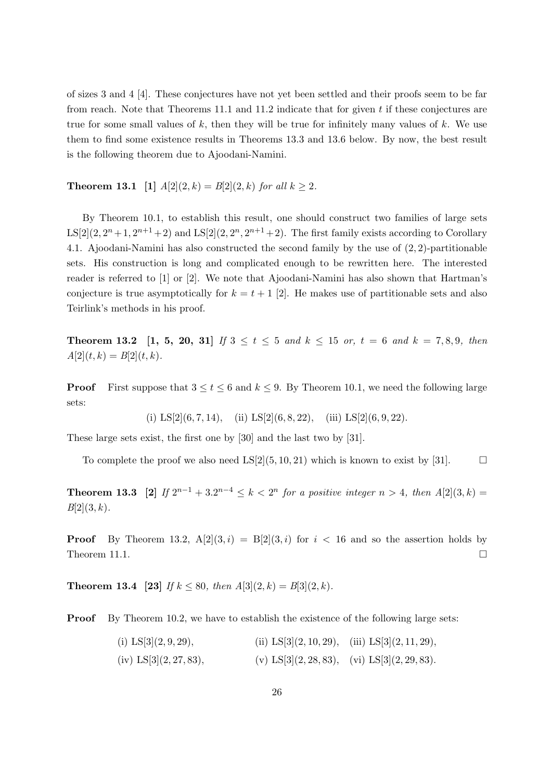of sizes 3 and 4 [4]. These conjectures have not yet been settled and their proofs seem to be far from reach. Note that Theorems 11.1 and 11.2 indicate that for given t if these conjectures are true for some small values of  $k$ , then they will be true for infinitely many values of  $k$ . We use them to find some existence results in Theorems 13.3 and 13.6 below. By now, the best result is the following theorem due to Ajoodani-Namini.

**Theorem 13.1** [1]  $A[2](2, k) = B[2](2, k)$  for all  $k \ge 2$ .

By Theorem 10.1, to establish this result, one should construct two families of large sets  $LS[2](2, 2<sup>n</sup>+1, 2<sup>n+1</sup>+2)$  and  $LS[2](2, 2<sup>n</sup>, 2<sup>n+1</sup>+2)$ . The first family exists according to Corollary 4.1. Ajoodani-Namini has also constructed the second family by the use of (2, 2)-partitionable sets. His construction is long and complicated enough to be rewritten here. The interested reader is referred to [1] or [2]. We note that Ajoodani-Namini has also shown that Hartman's conjecture is true asymptotically for  $k = t + 1$  [2]. He makes use of partitionable sets and also Teirlink's methods in his proof.

**Theorem 13.2** [1, 5, 20, 31] If  $3 \le t \le 5$  and  $k \le 15$  or,  $t = 6$  and  $k = 7, 8, 9$ , then  $A[2](t, k) = B[2](t, k).$ 

**Proof** First suppose that  $3 \le t \le 6$  and  $k \le 9$ . By Theorem 10.1, we need the following large sets:

(i)  $LS[2](6, 7, 14)$ , (ii)  $LS[2](6, 8, 22)$ , (iii)  $LS[2](6, 9, 22)$ .

These large sets exist, the first one by [30] and the last two by [31].

To complete the proof we also need  $LS[2](5, 10, 21)$  which is known to exist by [31].

**Theorem 13.3** [2] If  $2^{n-1} + 3 \cdot 2^{n-4} \le k < 2^n$  for a positive integer  $n > 4$ , then  $A[2](3,k) =$  $B[2](3, k)$ .

**Proof** By Theorem 13.2,  $A[2](3, i) = B[2](3, i)$  for  $i < 16$  and so the assertion holds by Theorem 11.1.  $\square$ 

**Theorem 13.4** [23] If  $k \le 80$ , then  $A[3](2, k) = B[3](2, k)$ .

**Proof** By Theorem 10.2, we have to establish the existence of the following large sets:

(i)  $LS[3](2, 9, 29)$ , (ii)  $LS[3](2, 10, 29)$ , (iii)  $LS[3](2, 11, 29)$ , (iv) LS[3](2, 27, 83), (v) LS[3](2, 28, 83), (vi) LS[3](2, 29, 83).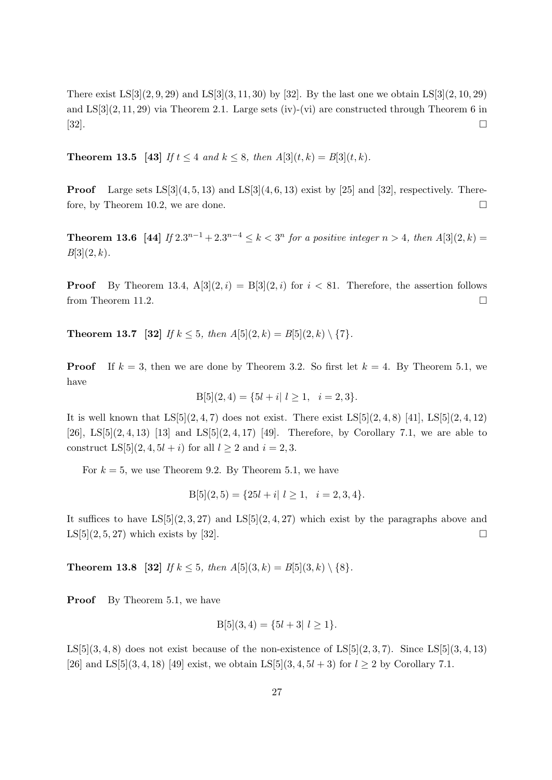There exist  $LS[3](2, 9, 29)$  and  $LS[3](3, 11, 30)$  by [32]. By the last one we obtain  $LS[3](2, 10, 29)$ and  $LS[3](2, 11, 29)$  via Theorem 2.1. Large sets (iv)-(vi) are constructed through Theorem 6 in [32].

**Theorem 13.5** [43] If  $t \leq 4$  and  $k \leq 8$ , then  $A[3](t, k) = B[3](t, k)$ .

**Proof** Large sets  $LS[3](4, 5, 13)$  and  $LS[3](4, 6, 13)$  exist by [25] and [32], respectively. Therefore, by Theorem 10.2, we are done.

**Theorem 13.6** [44] If  $2 \cdot 3^{n-1} + 2 \cdot 3^{n-4} \le k < 3^n$  for a positive integer  $n > 4$ , then  $A[3](2, k) =$  $B[3](2, k)$ .

**Proof** By Theorem 13.4,  $A[3](2, i) = B[3](2, i)$  for  $i < 81$ . Therefore, the assertion follows from Theorem 11.2.

**Theorem 13.7** [32] If  $k \leq 5$ , then  $A[5](2, k) = B[5](2, k) \setminus \{7\}.$ 

**Proof** If  $k = 3$ , then we are done by Theorem 3.2. So first let  $k = 4$ . By Theorem 5.1, we have

$$
B[5](2,4) = \{5l + i | l \ge 1, i = 2,3\}.
$$

It is well known that  $LS[5](2,4,7)$  does not exist. There exist  $LS[5](2,4,8)$  [41],  $LS[5](2,4,12)$ [26], LS[5](2, 4, 13) [13] and LS[5](2, 4, 17) [49]. Therefore, by Corollary 7.1, we are able to construct LS[5] $(2, 4, 5l + i)$  for all  $l \ge 2$  and  $i = 2, 3$ .

For  $k = 5$ , we use Theorem 9.2. By Theorem 5.1, we have

$$
B[5](2,5) = \{25l + i | l \ge 1, i = 2,3,4\}.
$$

It suffices to have  $LS[5](2,3,27)$  and  $LS[5](2,4,27)$  which exist by the paragraphs above and LS[5](2, 5, 27) which exists by [32].

**Theorem 13.8** [32] If  $k \leq 5$ , then  $A[5](3, k) = B[5](3, k) \setminus \{8\}.$ 

**Proof** By Theorem 5.1, we have

$$
B[5](3,4) = \{5l + 3| l \ge 1\}.
$$

 $LS[5](3,4,8)$  does not exist because of the non-existence of  $LS[5](2,3,7)$ . Since  $LS[5](3,4,13)$ [26] and LS[5](3, 4, 18) [49] exist, we obtain LS[5](3, 4, 5l + 3) for  $l \ge 2$  by Corollary 7.1.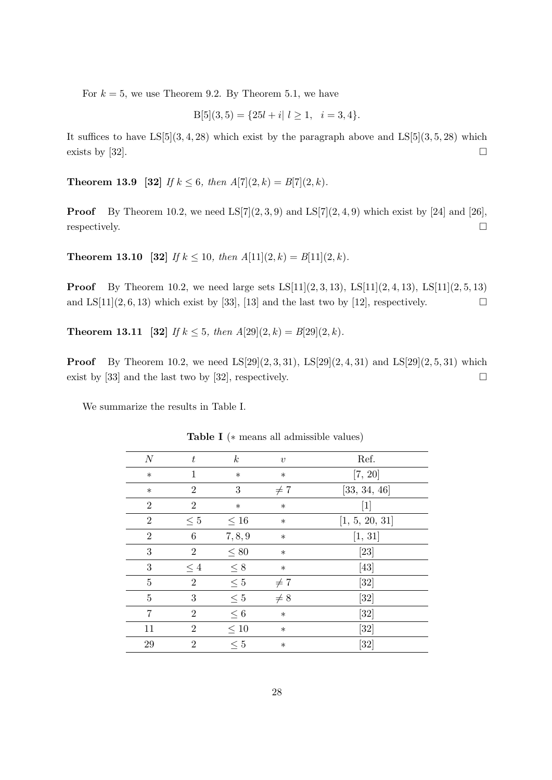For  $k = 5$ , we use Theorem 9.2. By Theorem 5.1, we have

$$
B[5](3,5) = \{25l + i | l \ge 1, i = 3, 4\}.
$$

It suffices to have  $LS[5](3, 4, 28)$  which exist by the paragraph above and  $LS[5](3, 5, 28)$  which exists by [32].

**Theorem 13.9** [32] If  $k \leq 6$ , then  $A[7](2, k) = B[7](2, k)$ .

**Proof** By Theorem 10.2, we need  $LS[7](2,3,9)$  and  $LS[7](2,4,9)$  which exist by [24] and [26], respectively.  $\Box$ 

**Theorem 13.10** [32] If  $k \le 10$ , then  $A[11](2, k) = B[11](2, k)$ .

**Proof** By Theorem 10.2, we need large sets  $LS[11](2,3,13)$ ,  $LS[11](2,4,13)$ ,  $LS[11](2,5,13)$ and LS[11](2, 6, 13) which exist by [33], [13] and the last two by [12], respectively.  $\square$ 

**Theorem 13.11** [32] If  $k \le 5$ , then  $A[29](2, k) = B[29](2, k)$ .

**Proof** By Theorem 10.2, we need  $LS[29](2,3,31)$ ,  $LS[29](2,4,31)$  and  $LS[29](2,5,31)$  which exist by [33] and the last two by [32], respectively.  $\square$ 

We summarize the results in Table I.

| $\cal N$       | $t\,$          | $\boldsymbol{k}$ | $\boldsymbol{v}$ | Ref.               |
|----------------|----------------|------------------|------------------|--------------------|
| $\ast$         | 1              | $\ast$           | $\ast$           | [7, 20]            |
| $\ast$         | $\overline{2}$ | 3                | $\neq 7$         | [33, 34, 46]       |
| $\overline{2}$ | $\overline{2}$ | $\ast$           | $\ast$           | $[1]$              |
| $\overline{2}$ | $\leq 5$       | $\leq 16$        | $\ast$           | [1, 5, 20, 31]     |
| $\overline{2}$ | $\,6$          | 7, 8, 9          | $\ast$           | [1, 31]            |
| 3              | $\overline{2}$ | $\leq 80$        | $\ast$           | $\left[ 23\right]$ |
| 3              | $\leq 4$       | $\leq 8$         | $\ast$           | $[43]$             |
| 5              | $\overline{2}$ | $\leq 5$         | $\neq 7$         | [32]               |
| 5              | 3              | $\leq 5$         | $\neq 8$         | $\left[ 32\right]$ |
| 7              | $\overline{2}$ | $\leq 6$         | $\ast$           | [32]               |
| 11             | $\overline{2}$ | $\leq 10$        | $\ast$           | [32]               |
| $\,29$         | $\overline{2}$ | $\leq 5$         | $\ast$           | [32]               |
|                |                |                  |                  |                    |

Table I (∗ means all admissible values)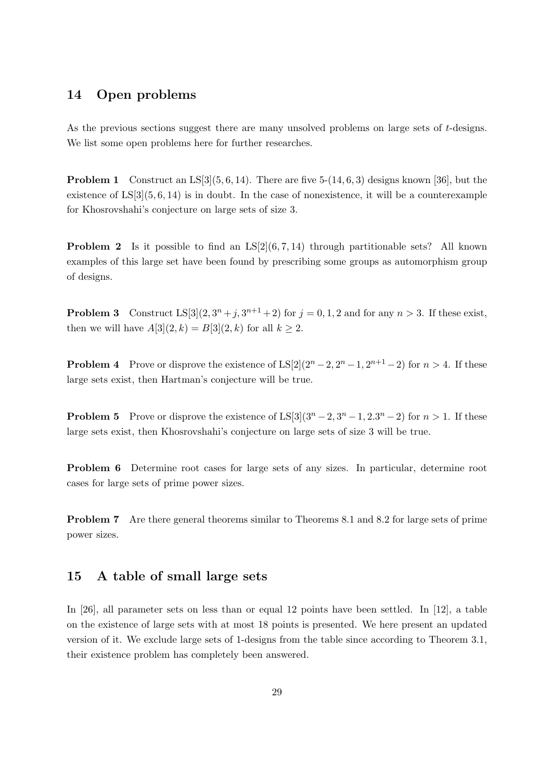#### 14 Open problems

As the previous sections suggest there are many unsolved problems on large sets of t-designs. We list some open problems here for further researches.

**Problem 1** Construct an LS[3](5, 6, 14). There are five  $5-(14, 6, 3)$  designs known [36], but the existence of  $LS[3](5, 6, 14)$  is in doubt. In the case of nonexistence, it will be a counterexample for Khosrovshahi's conjecture on large sets of size 3.

**Problem 2** Is it possible to find an  $LS[2](6, 7, 14)$  through partitionable sets? All known examples of this large set have been found by prescribing some groups as automorphism group of designs.

**Problem 3** Construct  $LS[3](2, 3^n + j, 3^{n+1} + 2)$  for  $j = 0, 1, 2$  and for any  $n > 3$ . If these exist, then we will have  $A[3](2, k) = B[3](2, k)$  for all  $k \ge 2$ .

**Problem 4** Prove or disprove the existence of  $LS[2](2^{n}-2, 2^{n}-1, 2^{n+1}-2)$  for  $n > 4$ . If these large sets exist, then Hartman's conjecture will be true.

**Problem 5** Prove or disprove the existence of  $LS[3](3^n-2, 3^n-1, 2 \cdot 3^n-2)$  for  $n > 1$ . If these large sets exist, then Khosrovshahi's conjecture on large sets of size 3 will be true.

Problem 6 Determine root cases for large sets of any sizes. In particular, determine root cases for large sets of prime power sizes.

Problem 7 Are there general theorems similar to Theorems 8.1 and 8.2 for large sets of prime power sizes.

#### 15 A table of small large sets

In [26], all parameter sets on less than or equal 12 points have been settled. In [12], a table on the existence of large sets with at most 18 points is presented. We here present an updated version of it. We exclude large sets of 1-designs from the table since according to Theorem 3.1, their existence problem has completely been answered.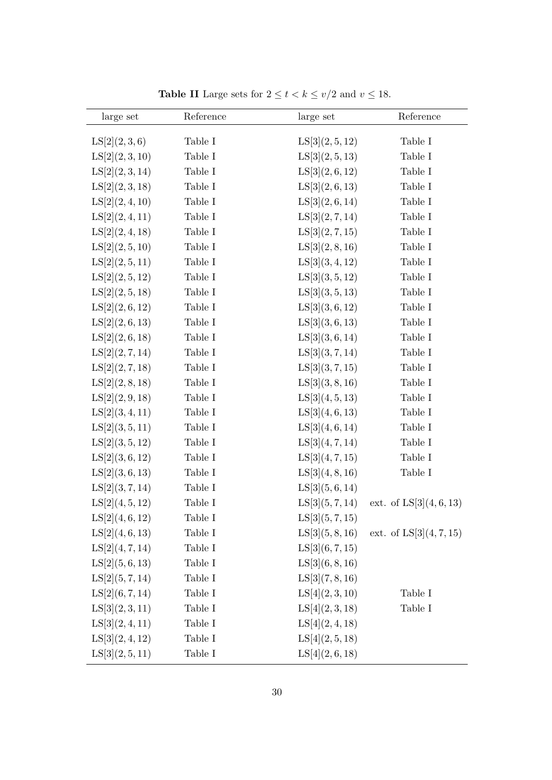| large set       | Reference | large set       | Reference               |
|-----------------|-----------|-----------------|-------------------------|
| LS[2](2,3,6)    | Table I   | LS[3](2, 5, 12) | Table I                 |
| LS[2](2,3,10)   | Table I   | LS[3](2,5,13)   | Table I                 |
| LS[2](2,3,14)   | Table I   | LS[3](2,6,12)   | Table I                 |
| LS[2](2,3,18)   | Table I   | LS[3](2,6,13)   | Table I                 |
| LS[2](2, 4, 10) | Table I   | LS[3](2,6,14)   | Table I                 |
| LS[2](2,4,11)   | Table I   | LS[3](2,7,14)   | Table I                 |
| LS[2](2, 4, 18) | Table I   | LS[3](2,7,15)   | Table I                 |
| LS[2](2, 5, 10) | Table I   | LS[3](2,8,16)   | Table I                 |
| LS[2](2, 5, 11) | Table I   | LS[3](3,4,12)   | Table I                 |
| LS[2](2, 5, 12) | Table I   | LS[3](3,5,12)   | Table I                 |
| LS[2](2, 5, 18) | Table I   | LS[3](3,5,13)   | Table I                 |
| LS[2](2,6,12)   | Table I   | LS[3](3,6,12)   | Table I                 |
| LS[2](2,6,13)   | Table I   | LS[3](3,6,13)   | Table I                 |
| LS[2](2,6,18)   | Table I   | LS[3](3,6,14)   | Table I                 |
| LS[2](2, 7, 14) | Table I   | LS[3](3,7,14)   | Table I                 |
| LS[2](2, 7, 18) | Table I   | LS[3](3,7,15)   | Table I                 |
| LS[2](2,8,18)   | Table I   | LS[3](3,8,16)   | Table I                 |
| LS[2](2,9,18)   | Table I   | LS[3](4,5,13)   | Table I                 |
| LS[2](3,4,11)   | Table I   | LS[3](4,6,13)   | Table I                 |
| LS[2](3,5,11)   | Table I   | LS[3](4,6,14)   | Table I                 |
| LS[2](3,5,12)   | Table I   | LS[3](4,7,14)   | Table I                 |
| LS[2](3,6,12)   | Table I   | LS[3](4,7,15)   | Table I                 |
| LS[2](3,6,13)   | Table I   | LS[3](4,8,16)   | Table I                 |
| LS[2](3,7,14)   | Table I   | LS[3](5,6,14)   |                         |
| LS[2](4, 5, 12) | Table I   | LS[3](5,7,14)   | ext. of $LS[3](4,6,13)$ |
| LS[2](4,6,12)   | Table I   | LS[3](5,7,15)   |                         |
| LS[2](4,6,13)   | Table I   | LS[3](5,8,16)   | ext. of $LS[3](4,7,15)$ |
| LS[2](4,7,14)   | Table I   | LS[3](6,7,15)   |                         |
| LS[2](5,6,13)   | Table I   | LS[3](6, 8, 16) |                         |
| LS[2](5, 7, 14) | Table I   | LS[3](7,8,16)   |                         |
| LS[2](6, 7, 14) | Table I   | LS[4](2,3,10)   | Table I                 |
| LS[3](2,3,11)   | Table I   | LS[4](2,3,18)   | Table I                 |
| LS[3](2,4,11)   | Table I   | LS[4](2,4,18)   |                         |
| LS[3](2,4,12)   | Table I   | LS[4](2,5,18)   |                         |
| LS[3](2, 5, 11) | Table I   | LS[4](2,6,18)   |                         |

Table II Large sets for  $2 \le t < k \le v/2$  and  $v \le 18$ .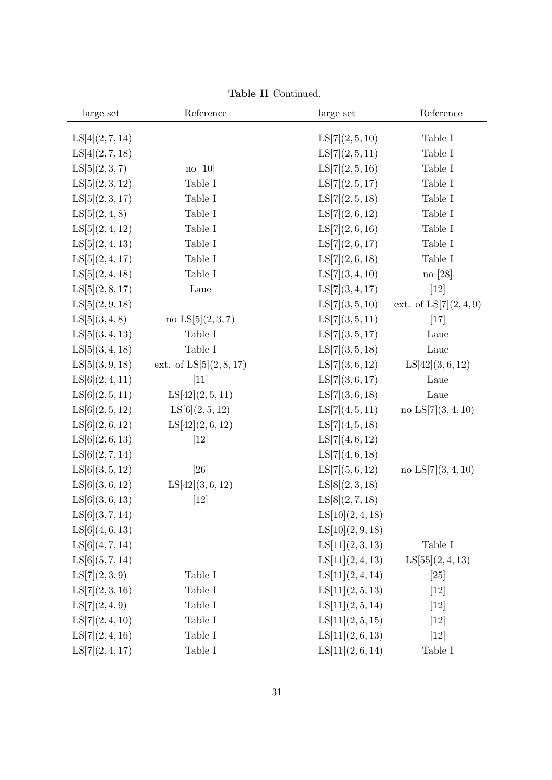| large set       | Reference               | large set        | Reference              |
|-----------------|-------------------------|------------------|------------------------|
| LS[4](2,7,14)   |                         | LS[7](2, 5, 10)  | Table I                |
| LS[4](2, 7, 18) |                         | LS[7](2, 5, 11)  | Table I                |
| LS[5](2,3,7)    | $no$ [10]               | LS[7](2, 5, 16)  | Table I                |
| LS[5](2,3,12)   | Table I                 | LS[7](2, 5, 17)  | Table I                |
| LS[5](2,3,17)   | Table I                 | LS[7](2, 5, 18)  | Table I                |
| LS[5](2,4,8)    | Table I                 | LS[7](2,6,12)    | Table I                |
| LS[5](2,4,12)   | Table I                 | LS[7](2,6,16)    | Table I                |
| LS[5](2,4,13)   | Table I                 | LS[7](2,6,17)    | Table I                |
| LS[5](2,4,17)   | Table I                 | LS[7](2,6,18)    | Table I                |
| LS[5](2,4,18)   | Table I                 | LS[7](3,4,10)    | no [28]                |
| LS[5](2,8,17)   | Laue                    | LS[7](3,4,17)    | $[12]$                 |
| LS[5](2,9,18)   |                         | LS[7](3,5,10)    | ext. of $LS[7](2,4,9)$ |
| LS[5](3,4,8)    | no $LS[5](2,3,7)$       | LS[7](3,5,11)    | $[17]$                 |
| LS[5](3,4,13)   | Table I                 | LS[7](3,5,17)    | Laue                   |
| LS[5](3,4,18)   | Table I                 | LS[7](3,5,18)    | Laue                   |
| LS[5](3,9,18)   | ext. of $LS[5](2,8,17)$ | LS[7](3,6,12)    | LS[42](3,6,12)         |
| LS[6](2,4,11)   | $[11]$                  | LS[7](3,6,17)    | Laue                   |
| LS[6](2, 5, 11) | LS[42](2, 5, 11)        | LS[7](3,6,18)    | Laue                   |
| LS[6](2, 5, 12) | LS[6](2, 5, 12)         | LS[7](4, 5, 11)  | no $LS[7](3,4,10)$     |
| LS[6](2,6,12)   | LS[42](2,6,12)          | LS[7](4,5,18)    |                        |
| LS[6](2,6,13)   | $[12]$                  | LS[7](4,6,12)    |                        |
| LS[6](2, 7, 14) |                         | LS[7](4,6,18)    |                        |
| LS[6](3, 5, 12) | $[26]$                  | LS[7](5,6,12)    | no $LS[7](3,4,10)$     |
| LS[6](3,6,12)   | LS[42](3,6,12)          | LS[8](2,3,18)    |                        |
| LS[6](3,6,13)   | $[12]$                  | LS[8](2, 7, 18)  |                        |
| LS[6](3,7,14)   |                         | LS[10](2, 4, 18) |                        |
| LS[6](4,6,13)   |                         | LS[10](2,9,18)   |                        |
| LS[6](4,7,14)   |                         | LS[11](2,3,13)   | Table I                |
| LS[6](5,7,14)   |                         | LS[11](2,4,13)   | LS[55](2,4,13)         |
| LS[7](2,3,9)    | Table I                 | LS[11](2, 4, 14) | [25]                   |
| LS[7](2,3,16)   | Table I                 | LS[11](2,5,13)   | $[12]$                 |
| LS[7](2,4,9)    | Table I                 | LS[11](2, 5, 14) | [12]                   |
| LS[7](2,4,10)   | Table I                 | LS[11](2, 5, 15) | [12]                   |
| LS[7](2,4,16)   | Table I                 | LS[11](2,6,13)   | [12]                   |
| LS[7](2,4,17)   | Table I                 | LS[11](2,6,14)   | Table I                |

Table II Continued.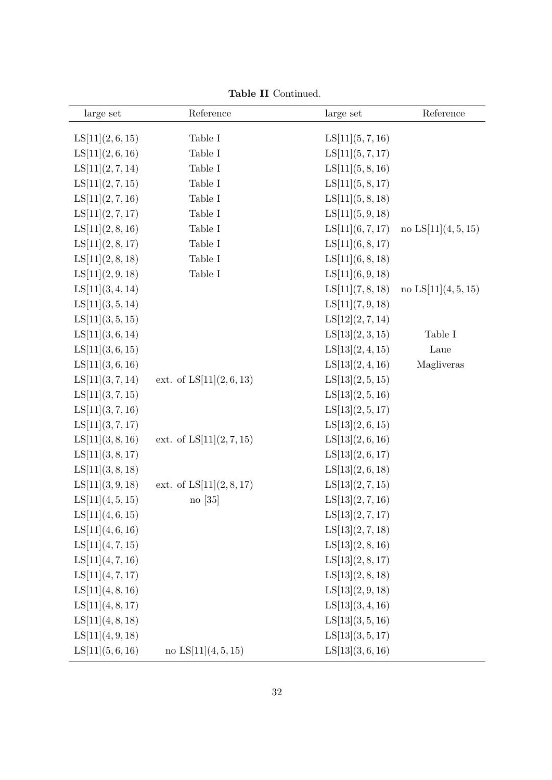| large set        | Reference                | large set        | Reference           |
|------------------|--------------------------|------------------|---------------------|
| LS[11](2,6,15)   | Table I                  | LS[11](5,7,16)   |                     |
| LS[11](2,6,16)   | Table I                  | LS[11](5, 7, 17) |                     |
| LS[11](2, 7, 14) | Table I                  | LS[11](5,8,16)   |                     |
| LS[11](2, 7, 15) | Table I                  | LS[11](5,8,17)   |                     |
| LS[11](2, 7, 16) | Table $\cal I$           | LS[11](5,8,18)   |                     |
| LS[11](2, 7, 17) | Table I                  | LS[11](5,9,18)   |                     |
| LS[11](2,8,16)   | Table I                  | LS[11](6, 7, 17) | no $LS[11](4,5,15)$ |
| LS[11](2,8,17)   | Table I                  | LS[11](6, 8, 17) |                     |
| LS[11](2,8,18)   | Table I                  | LS[11](6, 8, 18) |                     |
| LS[11](2,9,18)   | Table I                  | LS[11](6,9,18)   |                     |
| LS[11](3,4,14)   |                          | LS[11](7,8,18)   | no $LS[11](4,5,15)$ |
| LS[11](3,5,14)   |                          | LS[11](7,9,18)   |                     |
| LS[11](3,5,15)   |                          | LS[12](2, 7, 14) |                     |
| LS[11](3,6,14)   |                          | LS[13](2,3,15)   | Table I             |
| LS[11](3,6,15)   |                          | LS[13](2,4,15)   | Laue                |
| LS[11](3,6,16)   |                          | LS[13](2,4,16)   | Magliveras          |
| LS[11](3,7,14)   | ext. of $LS[11](2,6,13)$ | LS[13](2, 5, 15) |                     |
| LS[11](3,7,15)   |                          | LS[13](2,5,16)   |                     |
| LS[11](3,7,16)   |                          | LS[13](2, 5, 17) |                     |
| LS[11](3, 7, 17) |                          | LS[13](2,6,15)   |                     |
| LS[11](3,8,16)   | ext. of $LS[11](2,7,15)$ | LS[13](2,6,16)   |                     |
| LS[11](3,8,17)   |                          | LS[13](2,6,17)   |                     |
| LS[11](3,8,18)   |                          | LS[13](2,6,18)   |                     |
| LS[11](3,9,18)   | ext. of $LS[11](2,8,17)$ | LS[13](2,7,15)   |                     |
| LS[11](4, 5, 15) | $\log 35 $               | LS[13](2,7,16)   |                     |
| LS[11](4,6,15)   |                          | LS[13](2,7,17)   |                     |
| LS[11](4,6,16)   |                          | LS[13](2,7,18)   |                     |
| LS[11](4,7,15)   |                          | LS[13](2,8,16)   |                     |
| LS[11](4,7,16)   |                          | LS[13](2,8,17)   |                     |
| LS[11](4,7,17)   |                          | LS[13](2,8,18)   |                     |
| LS[11](4,8,16)   |                          | LS[13](2,9,18)   |                     |
| LS[11](4,8,17)   |                          | LS[13](3,4,16)   |                     |
| LS[11](4,8,18)   |                          | LS[13](3,5,16)   |                     |
| LS[11](4,9,18)   |                          | LS[13](3,5,17)   |                     |
| LS[11](5,6,16)   | no $LS[11](4,5,15)$      | LS[13](3,6,16)   |                     |

Table II Continued.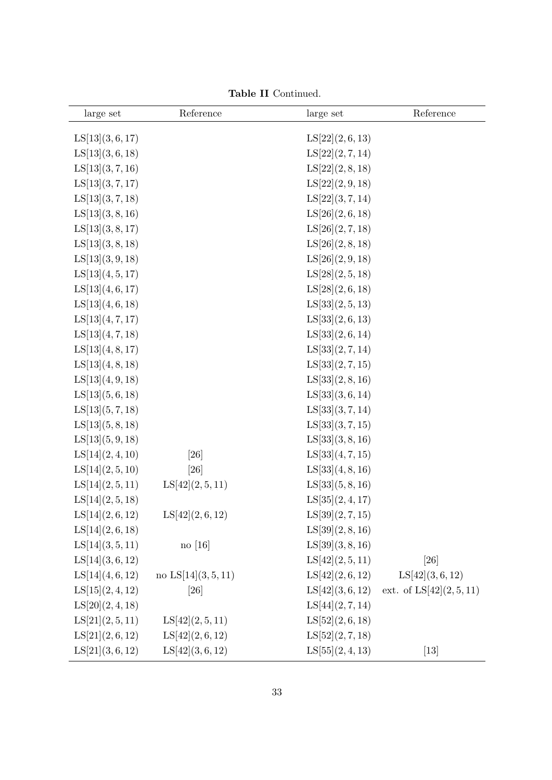| large set        | Reference           | large set        | Reference                                   |
|------------------|---------------------|------------------|---------------------------------------------|
| LS[13](3,6,17)   |                     | LS[22](2,6,13)   |                                             |
| LS[13](3,6,18)   |                     | LS[22](2, 7, 14) |                                             |
| LS[13](3,7,16)   |                     | LS[22](2,8,18)   |                                             |
| LS[13](3,7,17)   |                     | LS[22](2,9,18)   |                                             |
| LS[13](3,7,18)   |                     | LS[22](3,7,14)   |                                             |
| LS[13](3,8,16)   |                     | LS[26](2,6,18)   |                                             |
| LS[13](3,8,17)   |                     | LS[26](2, 7, 18) |                                             |
| LS[13](3,8,18)   |                     | LS[26](2,8,18)   |                                             |
| LS[13](3,9,18)   |                     | LS[26](2,9,18)   |                                             |
| LS[13](4,5,17)   |                     | LS[28](2, 5, 18) |                                             |
| LS[13](4,6,17)   |                     | LS[28](2,6,18)   |                                             |
| LS[13](4,6,18)   |                     | LS[33](2,5,13)   |                                             |
| LS[13](4, 7, 17) |                     | LS[33](2,6,13)   |                                             |
| LS[13](4,7,18)   |                     | LS[33](2,6,14)   |                                             |
| LS[13](4,8,17)   |                     | LS[33](2,7,14)   |                                             |
| LS[13](4,8,18)   |                     | LS[33](2, 7, 15) |                                             |
| LS[13](4,9,18)   |                     | LS[33](2,8,16)   |                                             |
| LS[13](5,6,18)   |                     | LS[33](3,6,14)   |                                             |
| LS[13](5,7,18)   |                     | LS[33](3,7,14)   |                                             |
| LS[13](5,8,18)   |                     | LS[33](3,7,15)   |                                             |
| LS[13](5,9,18)   |                     | LS[33](3,8,16)   |                                             |
| LS[14](2,4,10)   | [26]                | LS[33](4,7,15)   |                                             |
| LS[14](2, 5, 10) | [26]                | LS[33](4,8,16)   |                                             |
| LS[14](2,5,11)   | LS[42](2, 5, 11)    | LS[33](5,8,16)   |                                             |
| LS[14](2,5,18)   |                     | LS[35](2,4,17)   |                                             |
| LS[14](2,6,12)   | LS[42](2,6,12)      | LS[39](2,7,15)   |                                             |
| LS[14](2,6,18)   |                     | LS[39](2,8,16)   |                                             |
| LS[14](3,5,11)   | $\log$ [16]         | LS[39](3,8,16)   |                                             |
| LS[14](3,6,12)   |                     | LS[42](2, 5, 11) | [26]                                        |
| LS[14](4,6,12)   | no $LS[14](3,5,11)$ | LS[42](2,6,12)   | LS[42](3,6,12)                              |
| LS[15](2,4,12)   | [26]                |                  | LS[42] $(3,6,12)$ ext. of LS[42] $(2,5,11)$ |
| LS[20](2, 4, 18) |                     | LS[44](2,7,14)   |                                             |
| LS[21](2, 5, 11) | LS[42](2, 5, 11)    | LS[52](2,6,18)   |                                             |
| LS[21](2,6,12)   | LS[42](2,6,12)      | LS[52](2,7,18)   |                                             |
| LS[21](3,6,12)   | LS[42](3,6,12)      | LS[55](2,4,13)   | $[13]$                                      |

Table II Continued.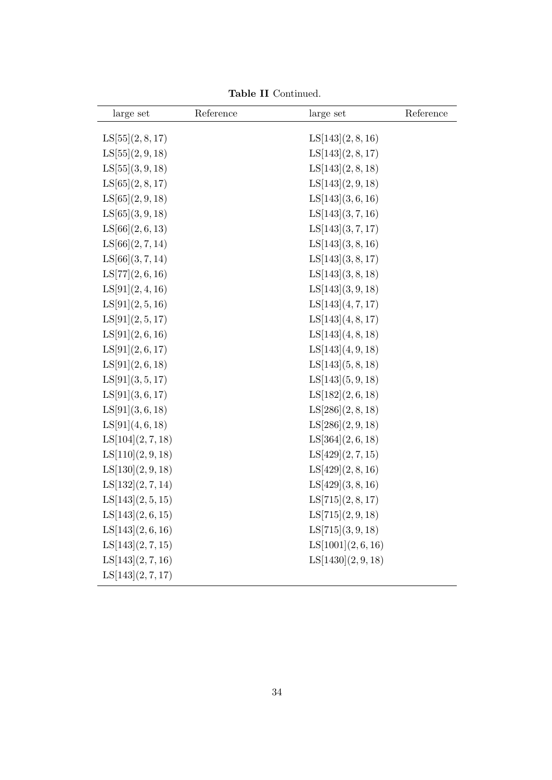| large set        | Reference | large set         | Reference |
|------------------|-----------|-------------------|-----------|
| LS[55](2,8,17)   |           | LS[143](2,8,16)   |           |
| LS[55](2,9,18)   |           | LS[143](2,8,17)   |           |
| LS[55](3,9,18)   |           | LS[143](2,8,18)   |           |
| LS[65](2, 8, 17) |           | LS[143](2,9,18)   |           |
| LS[65](2, 9, 18) |           | LS[143](3,6,16)   |           |
| LS[65](3,9,18)   |           | LS[143](3,7,16)   |           |
| LS[66](2, 6, 13) |           | LS[143](3,7,17)   |           |
| LS[66](2, 7, 14) |           | LS[143](3,8,16)   |           |
| LS[66](3,7,14)   |           | LS[143](3,8,17)   |           |
| LS[77](2,6,16)   |           | LS[143](3,8,18)   |           |
| LS[91](2,4,16)   |           | LS[143](3,9,18)   |           |
| LS[91](2, 5, 16) |           | LS[143](4,7,17)   |           |
| LS[91](2, 5, 17) |           | LS[143](4,8,17)   |           |
| LS[91](2,6,16)   |           | LS[143](4,8,18)   |           |
| LS[91](2,6,17)   |           | LS[143](4,9,18)   |           |
| LS[91](2,6,18)   |           | LS[143](5,8,18)   |           |
| LS[91](3, 5, 17) |           | LS[143](5,9,18)   |           |
| LS[91](3,6,17)   |           | LS[182](2,6,18)   |           |
| LS[91](3,6,18)   |           | LS[286](2, 8, 18) |           |
| LS[91](4,6,18)   |           | LS[286](2,9,18)   |           |
| LS[104](2,7,18)  |           | LS[364](2,6,18)   |           |
| LS[110](2,9,18)  |           | LS[429](2, 7, 15) |           |
| LS[130](2,9,18)  |           | LS[429](2,8,16)   |           |
| LS[132](2,7,14)  |           | LS[429](3,8,16)   |           |
| LS[143](2,5,15)  |           | LS[715](2,8,17)   |           |
| LS[143](2,6,15)  |           | LS[715](2,9,18)   |           |
| LS[143](2,6,16)  |           | LS[715](3,9,18)   |           |
| LS[143](2,7,15)  |           | LS[1001](2,6,16)  |           |
| LS[143](2,7,16)  |           | LS[1430](2,9,18)  |           |
| LS[143](2,7,17)  |           |                   |           |

Table II Continued.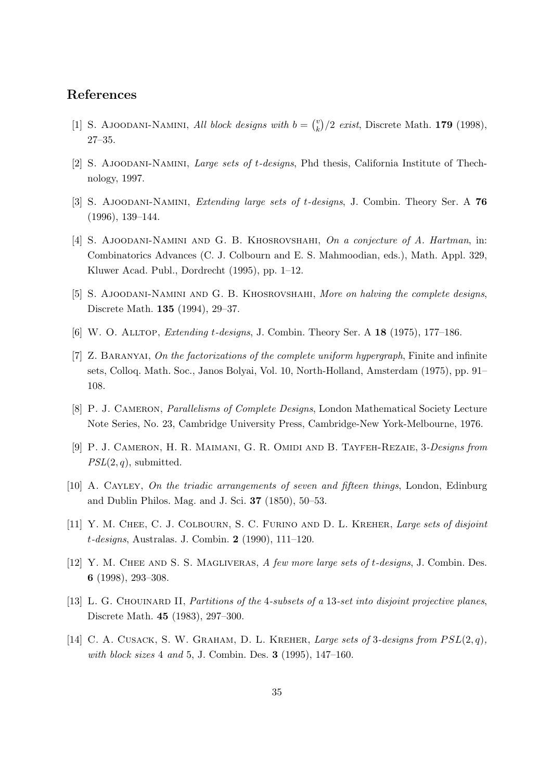#### References

- [1] S. AJOODANI-NAMINI, All block designs with  $b = \binom{v}{k}$  $\binom{v}{k}/2$  exist, Discrete Math. **179** (1998), 27–35.
- [2] S. Ajoodani-Namini, Large sets of t-designs, Phd thesis, California Institute of Thechnology, 1997.
- [3] S. Ajoodani-Namini, Extending large sets of t-designs, J. Combin. Theory Ser. A 76 (1996), 139–144.
- [4] S. AJOODANI-NAMINI AND G. B. KHOSROVSHAHI, On a conjecture of A. Hartman, in: Combinatorics Advances (C. J. Colbourn and E. S. Mahmoodian, eds.), Math. Appl. 329, Kluwer Acad. Publ., Dordrecht (1995), pp. 1–12.
- [5] S. AJOODANI-NAMINI AND G. B. KHOSROVSHAHI, More on halving the complete designs, Discrete Math. 135 (1994), 29–37.
- [6] W. O. Alltop, Extending t-designs, J. Combin. Theory Ser. A 18 (1975), 177–186.
- [7] Z. BARANYAI, On the factorizations of the complete uniform hypergraph, Finite and infinite sets, Colloq. Math. Soc., Janos Bolyai, Vol. 10, North-Holland, Amsterdam (1975), pp. 91– 108.
- [8] P. J. CAMERON, *Parallelisms of Complete Designs*, London Mathematical Society Lecture Note Series, No. 23, Cambridge University Press, Cambridge-New York-Melbourne, 1976.
- [9] P. J. Cameron, H. R. Maimani, G. R. Omidi and B. Tayfeh-Rezaie, 3-Designs from  $PSL(2, q)$ , submitted.
- [10] A. CAYLEY, On the triadic arrangements of seven and fifteen things, London, Edinburg and Dublin Philos. Mag. and J. Sci. 37 (1850), 50–53.
- [11] Y. M. CHEE, C. J. COLBOURN, S. C. FURINO AND D. L. KREHER, Large sets of disjoint t-designs, Australas. J. Combin. 2 (1990), 111–120.
- [12] Y. M. CHEE AND S. S. MAGLIVERAS, A few more large sets of t-designs, J. Combin. Des. 6 (1998), 293–308.
- [13] L. G. CHOUINARD II, Partitions of the 4-subsets of a 13-set into disjoint projective planes, Discrete Math. 45 (1983), 297–300.
- [14] C. A. CUSACK, S. W. GRAHAM, D. L. KREHER, *Large sets of 3-designs from*  $PSL(2,q)$ , with block sizes  $4$  and  $5$ , J. Combin. Des.  $3$  (1995), 147–160.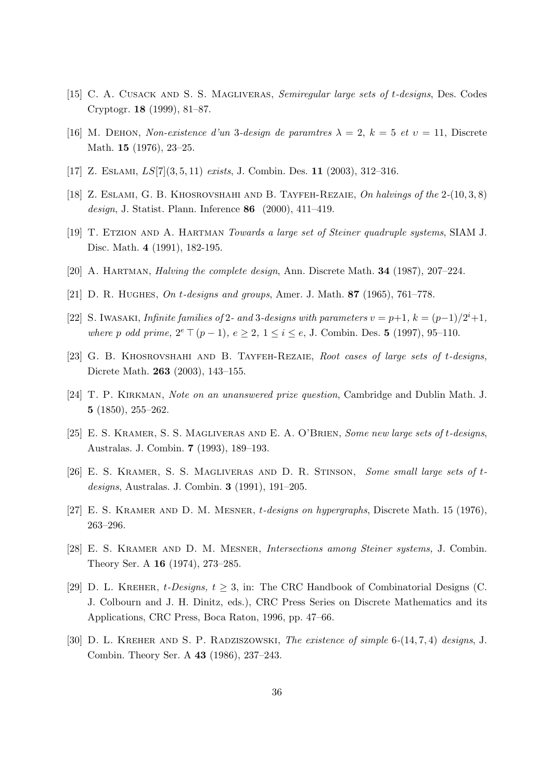- [15] C. A. CUSACK AND S. S. MAGLIVERAS, Semiregular large sets of t-designs, Des. Codes Cryptogr. 18 (1999), 81–87.
- [16] M. DEHON, Non-existence d'un 3-design de paramtres  $\lambda = 2$ ,  $k = 5$  et  $v = 11$ , Discrete Math. 15 (1976), 23–25.
- [17] Z. ESLAMI,  $LS[7](3, 5, 11)$  exists, J. Combin. Des. 11 (2003), 312-316.
- [18] Z. ESLAMI, G. B. KHOSROVSHAHI AND B. TAYFEH-REZAIE, On halvings of the  $2-(10,3,8)$ design, J. Statist. Plann. Inference 86 (2000), 411–419.
- [19] T. Etzion and A. Hartman Towards a large set of Steiner quadruple systems, SIAM J. Disc. Math. 4 (1991), 182-195.
- [20] A. Hartman, Halving the complete design, Ann. Discrete Math. 34 (1987), 207–224.
- [21] D. R. Hughes, On t-designs and groups, Amer. J. Math. 87 (1965), 761–778.
- [22] S. IWASAKI, Infinite families of 2- and 3-designs with parameters  $v = p+1$ ,  $k = (p-1)/2^{i}+1$ , where p odd prime,  $2^e \top (p-1)$ ,  $e \ge 2$ ,  $1 \le i \le e$ , J. Combin. Des. 5 (1997), 95–110.
- [23] G. B. KHOSROVSHAHI AND B. TAYFEH-REZAIE, Root cases of large sets of t-designs, Dicrete Math. 263 (2003), 143–155.
- [24] T. P. Kirkman, Note on an unanswered prize question, Cambridge and Dublin Math. J. 5 (1850), 255–262.
- [25] E. S. Kramer, S. S. Magliveras and E. A. O'Brien, Some new large sets of t-designs, Australas. J. Combin. 7 (1993), 189–193.
- [26] E. S. Kramer, S. S. Magliveras and D. R. Stinson, Some small large sets of tdesigns, Australas. J. Combin. 3 (1991), 191–205.
- [27] E. S. KRAMER AND D. M. MESNER, *t-designs on hypergraphs*, Discrete Math. 15 (1976), 263–296.
- [28] E. S. Kramer and D. M. Mesner, Intersections among Steiner systems, J. Combin. Theory Ser. A 16 (1974), 273–285.
- [29] D. L. KREHER,  $t$ -Designs,  $t \geq 3$ , in: The CRC Handbook of Combinatorial Designs (C. J. Colbourn and J. H. Dinitz, eds.), CRC Press Series on Discrete Mathematics and its Applications, CRC Press, Boca Raton, 1996, pp. 47–66.
- [30] D. L. KREHER AND S. P. RADZISZOWSKI, The existence of simple 6-(14, 7, 4) designs, J. Combin. Theory Ser. A 43 (1986), 237–243.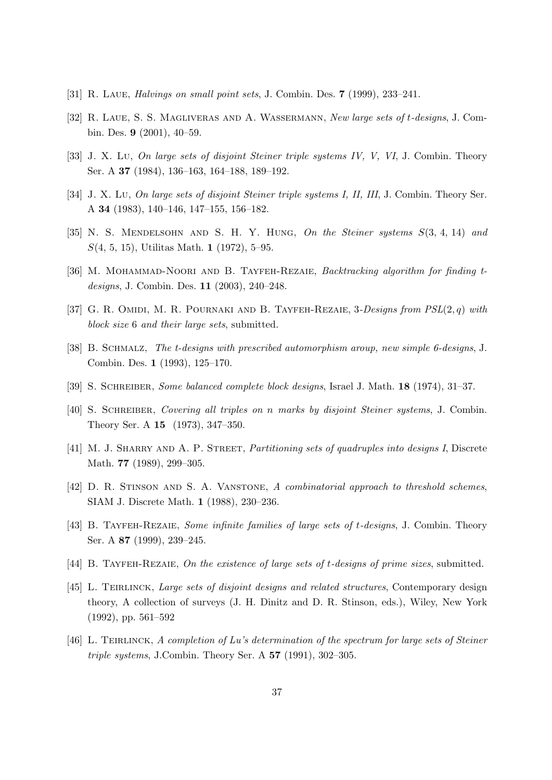- [31] R. Laue, Halvings on small point sets, J. Combin. Des. 7 (1999), 233–241.
- [32] R. Laue, S. S. Magliveras and A. Wassermann, New large sets of t-designs, J. Combin. Des. 9 (2001), 40–59.
- [33] J. X. Lu, On large sets of disjoint Steiner triple systems IV, V, VI, J. Combin. Theory Ser. A 37 (1984), 136–163, 164–188, 189–192.
- [34] J. X. Lu, On large sets of disjoint Steiner triple systems I, II, III, J. Combin. Theory Ser. A 34 (1983), 140–146, 147–155, 156–182.
- [35] N. S. MENDELSOHN AND S. H. Y. HUNG, On the Steiner systems  $S(3, 4, 14)$  and S(4, 5, 15), Utilitas Math. 1 (1972), 5–95.
- [36] M. MOHAMMAD-NOORI AND B. TAYFEH-REZAIE, Backtracking algorithm for finding tdesigns, J. Combin. Des. 11 (2003), 240–248.
- [37] G. R. OMIDI, M. R. POURNAKI AND B. TAYFEH-REZAIE,  $3$ -Designs from  $PSL(2, q)$  with block size 6 and their large sets, submitted.
- [38] B. Schmalz, The t-designs with prescribed automorphism aroup, new simple 6-designs, J. Combin. Des. 1 (1993), 125–170.
- [39] S. Schreiber, Some balanced complete block designs, Israel J. Math. 18 (1974), 31–37.
- [40] S. Schreiber, Covering all triples on n marks by disjoint Steiner systems, J. Combin. Theory Ser. A 15 (1973), 347–350.
- [41] M. J. SHARRY AND A. P. STREET, *Partitioning sets of quadruples into designs I*, Discrete Math. **77** (1989), 299-305.
- [42] D. R. STINSON AND S. A. VANSTONE, A combinatorial approach to threshold schemes, SIAM J. Discrete Math. 1 (1988), 230–236.
- [43] B. TAYFEH-REZAIE, Some infinite families of large sets of t-designs, J. Combin. Theory Ser. A 87 (1999), 239–245.
- [44] B. TAYFEH-REZAIE, On the existence of large sets of t-designs of prime sizes, submitted.
- [45] L. TEIRLINCK, Large sets of disjoint designs and related structures, Contemporary design theory, A collection of surveys (J. H. Dinitz and D. R. Stinson, eds.), Wiley, New York (1992), pp. 561–592
- [46] L. TEIRLINCK, A completion of Lu's determination of the spectrum for large sets of Steiner triple systems, J.Combin. Theory Ser. A  $57$  (1991), 302–305.